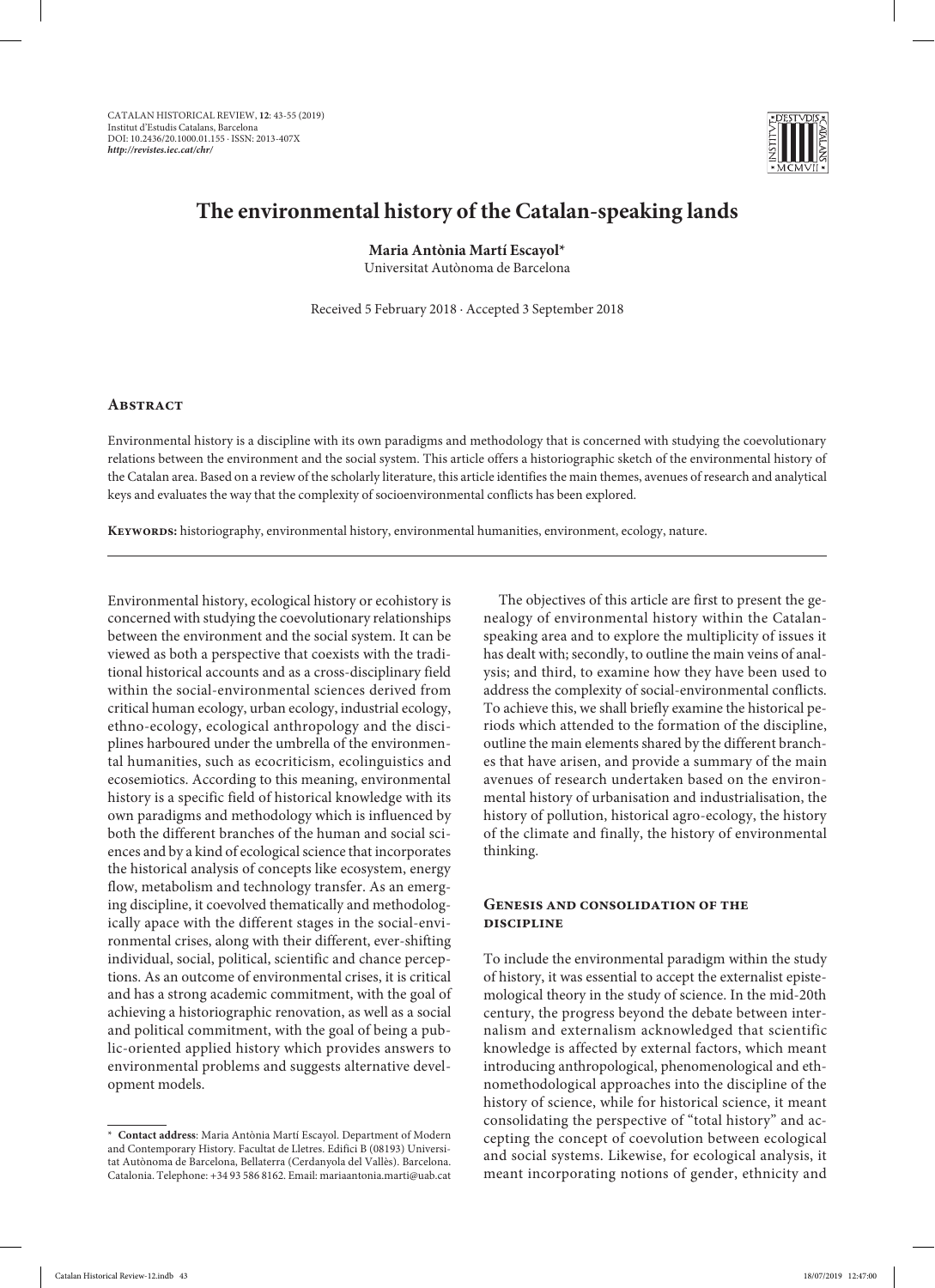

# **The environmental history of the Catalan-speaking lands**

**Maria Antònia Martí Escayol\***

Universitat Autònoma de Barcelona

Received 5 February 2018 · Accepted 3 September 2018

# **ABSTRACT**

Environmental history is a discipline with its own paradigms and methodology that is concerned with studying the coevolutionary relations between the environment and the social system. This article offers a historiographic sketch of the environmental history of the Catalan area. Based on a review of the scholarly literature, this article identifies the main themes, avenues of research and analytical keys and evaluates the way that the complexity of socioenvironmental conflicts has been explored.

**Keywords:** historiography, environmental history, environmental humanities, environment, ecology, nature.

Environmental history, ecological history or ecohistory is concerned with studying the coevolutionary relationships between the environment and the social system. It can be viewed as both a perspective that coexists with the traditional historical accounts and as a cross-disciplinary field within the social-environmental sciences derived from critical human ecology, urban ecology, industrial ecology, ethno-ecology, ecological anthropology and the disciplines harboured under the umbrella of the environmental humanities, such as ecocriticism, ecolinguistics and ecosemiotics. According to this meaning, environmental history is a specific field of historical knowledge with its own paradigms and methodology which is influenced by both the different branches of the human and social sciences and by a kind of ecological science that incorporates the historical analysis of concepts like ecosystem, energy flow, metabolism and technology transfer. As an emerging discipline, it coevolved thematically and methodologically apace with the different stages in the social-environmental crises, along with their different, ever-shifting individual, social, political, scientific and chance perceptions. As an outcome of environmental crises, it is critical and has a strong academic commitment, with the goal of achieving a historiographic renovation, as well as a social and political commitment, with the goal of being a public-oriented applied history which provides answers to environmental problems and suggests alternative development models.

\* **Contact address**: Maria Antònia Martí Escayol. Department of Modern and Contemporary History. Facultat de Lletres. Edifici B (08193) Universitat Autònoma de Barcelona, Bellaterra (Cerdanyola del Vallès). Barcelona. Catalonia. Telephone: +34 93 586 8162. Email: mariaantonia.marti@uab.cat

The objectives of this article are first to present the genealogy of environmental history within the Catalanspeaking area and to explore the multiplicity of issues it has dealt with; secondly, to outline the main veins of analysis; and third, to examine how they have been used to address the complexity of social-environmental conflicts. To achieve this, we shall briefly examine the historical periods which attended to the formation of the discipline, outline the main elements shared by the different branches that have arisen, and provide a summary of the main avenues of research undertaken based on the environmental history of urbanisation and industrialisation, the history of pollution, historical agro-ecology, the history of the climate and finally, the history of environmental thinking.

## **Genesis and consolidation of the discipline**

To include the environmental paradigm within the study of history, it was essential to accept the externalist epistemological theory in the study of science. In the mid-20th century, the progress beyond the debate between internalism and externalism acknowledged that scientific knowledge is affected by external factors, which meant introducing anthropological, phenomenological and ethnomethodological approaches into the discipline of the history of science, while for historical science, it meant consolidating the perspective of "total history" and accepting the concept of coevolution between ecological and social systems. Likewise, for ecological analysis, it meant incorporating notions of gender, ethnicity and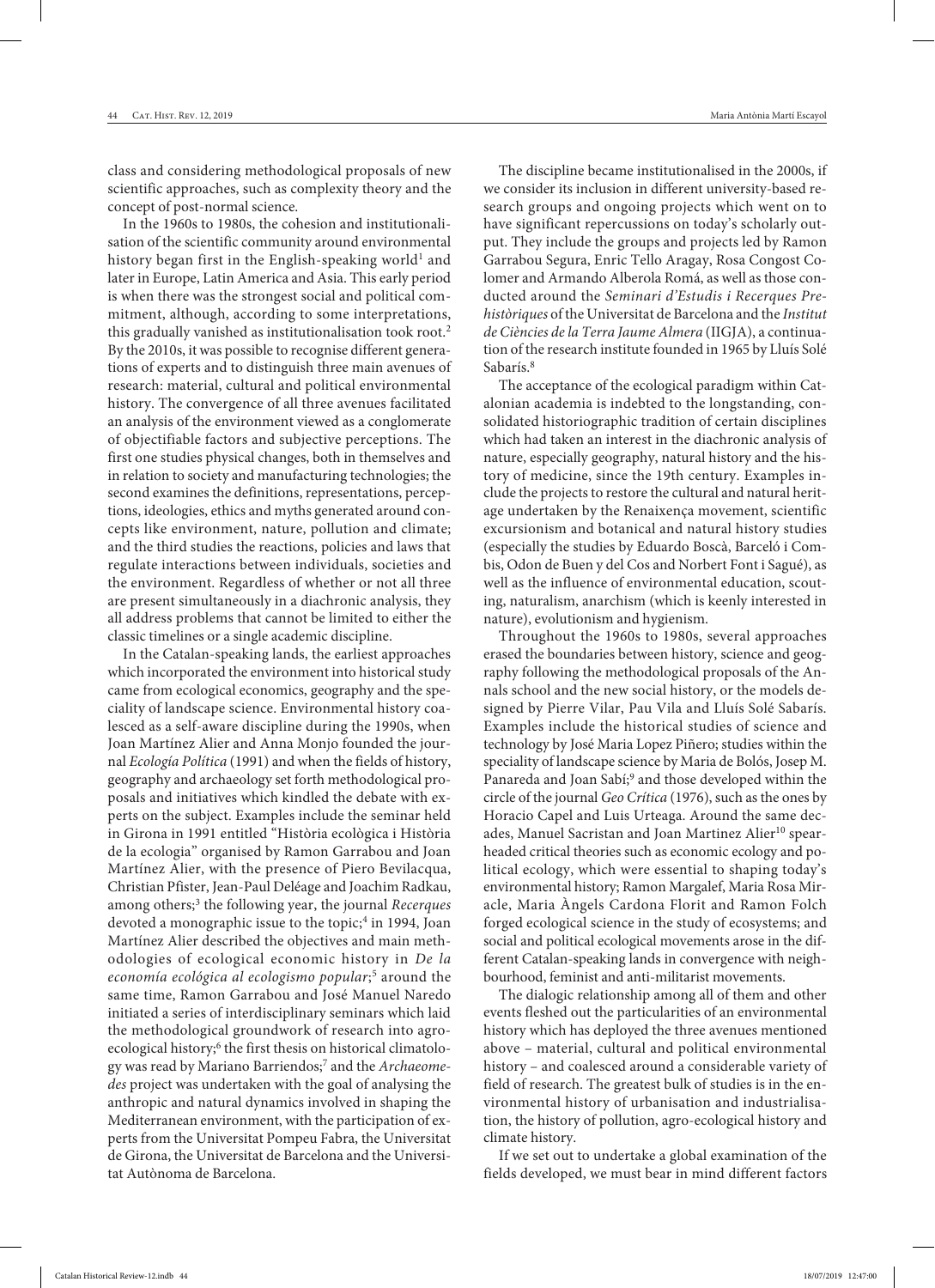class and considering methodological proposals of new scientific approaches, such as complexity theory and the concept of post-normal science.

In the 1960s to 1980s, the cohesion and institutionalisation of the scientific community around environmental history began first in the English-speaking world<sup>1</sup> and later in Europe, Latin America and Asia. This early period is when there was the strongest social and political commitment, although, according to some interpretations, this gradually vanished as institutionalisation took root.2 By the 2010s, it was possible to recognise different generations of experts and to distinguish three main avenues of research: material, cultural and political environmental history. The convergence of all three avenues facilitated an analysis of the environment viewed as a conglomerate of objectifiable factors and subjective perceptions. The first one studies physical changes, both in themselves and in relation to society and manufacturing technologies; the second examines the definitions, representations, perceptions, ideologies, ethics and myths generated around concepts like environment, nature, pollution and climate; and the third studies the reactions, policies and laws that regulate interactions between individuals, societies and the environment. Regardless of whether or not all three are present simultaneously in a diachronic analysis, they all address problems that cannot be limited to either the classic timelines or a single academic discipline.

In the Catalan-speaking lands, the earliest approaches which incorporated the environment into historical study came from ecological economics, geography and the speciality of landscape science. Environmental history coalesced as a self-aware discipline during the 1990s, when Joan Martínez Alier and Anna Monjo founded the journal *Ecología Política* (1991) and when the fields of history, geography and archaeology set forth methodological proposals and initiatives which kindled the debate with experts on the subject. Examples include the seminar held in Girona in 1991 entitled "Història ecològica i Història de la ecologia" organised by Ramon Garrabou and Joan Martínez Alier, with the presence of Piero Bevilacqua, Christian Pfister, Jean-Paul Deléage and Joachim Radkau, among others;3 the following year, the journal *Recerques* devoted a monographic issue to the topic;<sup>4</sup> in 1994, Joan Martínez Alier described the objectives and main methodologies of ecological economic history in *De la economía ecológica al ecologismo popular*; 5 around the same time, Ramon Garrabou and José Manuel Naredo initiated a series of interdisciplinary seminars which laid the methodological groundwork of research into agroecological history;<sup>6</sup> the first thesis on historical climatology was read by Mariano Barriendos;7 and the *Archaeomedes* project was undertaken with the goal of analysing the anthropic and natural dynamics involved in shaping the Mediterranean environment, with the participation of experts from the Universitat Pompeu Fabra, the Universitat de Girona, the Universitat de Barcelona and the Universitat Autònoma de Barcelona.

The discipline became institutionalised in the 2000s, if we consider its inclusion in different university-based research groups and ongoing projects which went on to have significant repercussions on today's scholarly output. They include the groups and projects led by Ramon Garrabou Segura, Enric Tello Aragay, Rosa Congost Colomer and Armando Alberola Romá, as well as those conducted around the *Seminari d'Estudis i Recerques Prehistòriques* of the Universitat de Barcelona and the *Institut de Ciències de la Terra Jaume Almera* (IIGJA), a continuation of the research institute founded in 1965 by Lluís Solé Sabarís<sup>8</sup>

The acceptance of the ecological paradigm within Catalonian academia is indebted to the longstanding, consolidated historiographic tradition of certain disciplines which had taken an interest in the diachronic analysis of nature, especially geography, natural history and the history of medicine, since the 19th century. Examples include the projects to restore the cultural and natural heritage undertaken by the Renaixença movement, scientific excursionism and botanical and natural history studies (especially the studies by Eduardo Boscà, Barceló i Combis, Odon de Buen y del Cos and Norbert Font i Sagué), as well as the influence of environmental education, scouting, naturalism, anarchism (which is keenly interested in nature), evolutionism and hygienism.

Throughout the 1960s to 1980s, several approaches erased the boundaries between history, science and geography following the methodological proposals of the Annals school and the new social history, or the models designed by Pierre Vilar, Pau Vila and Lluís Solé Sabarís. Examples include the historical studies of science and technology by José Maria Lopez Piñero; studies within the speciality of landscape science by Maria de Bolós, Josep M. Panareda and Joan Sabí;<sup>9</sup> and those developed within the circle of the journal *Geo Crítica* (1976), such as the ones by Horacio Capel and Luis Urteaga. Around the same decades, Manuel Sacristan and Joan Martinez Alier<sup>10</sup> spearheaded critical theories such as economic ecology and political ecology, which were essential to shaping today's environmental history; Ramon Margalef, Maria Rosa Miracle, Maria Àngels Cardona Florit and Ramon Folch forged ecological science in the study of ecosystems; and social and political ecological movements arose in the different Catalan-speaking lands in convergence with neighbourhood, feminist and anti-militarist movements.

The dialogic relationship among all of them and other events fleshed out the particularities of an environmental history which has deployed the three avenues mentioned above – material, cultural and political environmental history – and coalesced around a considerable variety of field of research. The greatest bulk of studies is in the environmental history of urbanisation and industrialisation, the history of pollution, agro-ecological history and climate history.

If we set out to undertake a global examination of the fields developed, we must bear in mind different factors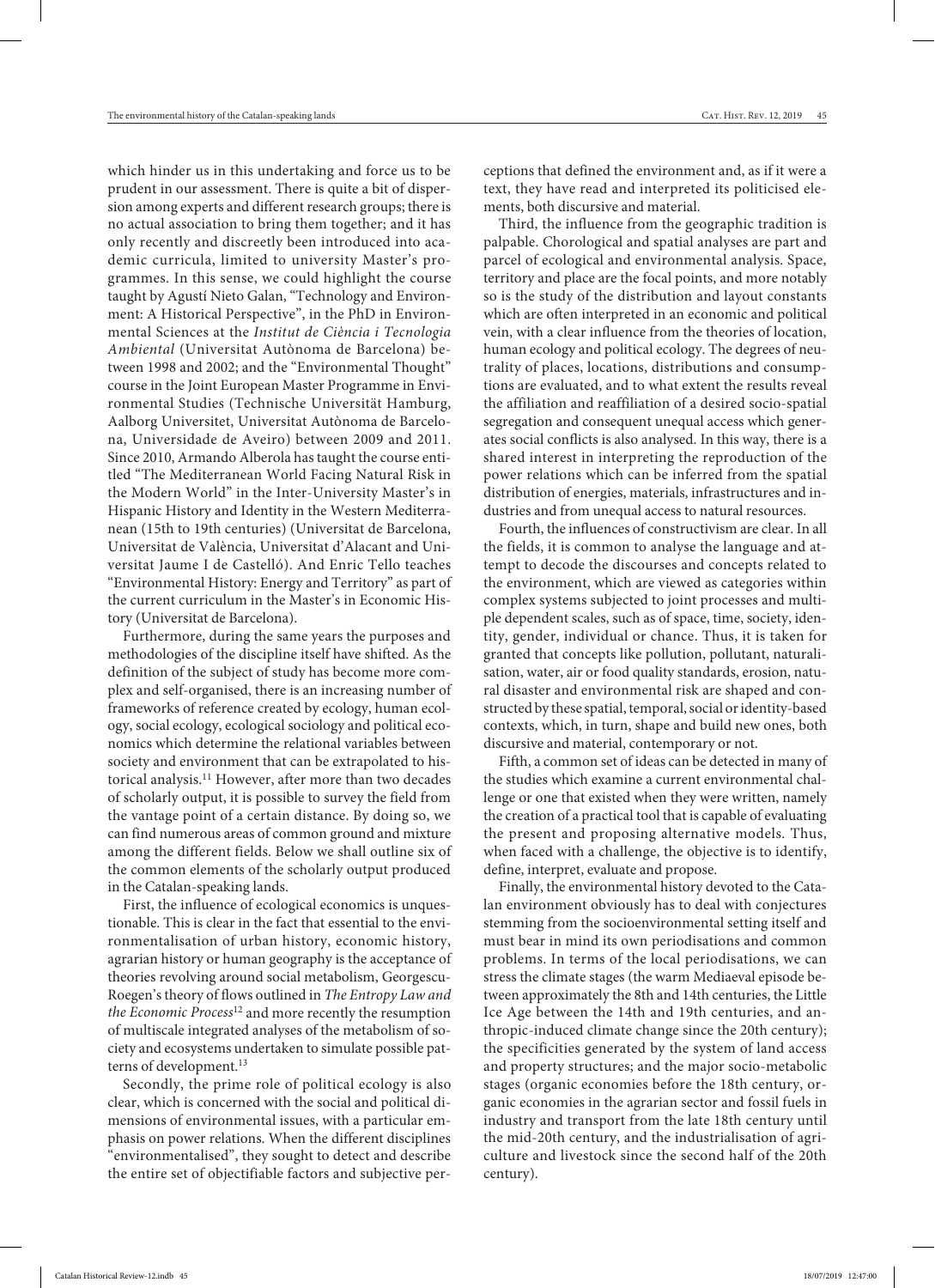which hinder us in this undertaking and force us to be prudent in our assessment. There is quite a bit of dispersion among experts and different research groups; there is no actual association to bring them together; and it has only recently and discreetly been introduced into academic curricula, limited to university Master's programmes. In this sense, we could highlight the course taught by Agustí Nieto Galan, "Technology and Environment: A Historical Perspective", in the PhD in Environmental Sciences at the *Institut de Ciència i Tecnologia Ambiental* (Universitat Autònoma de Barcelona) between 1998 and 2002; and the "Environmental Thought" course in the Joint European Master Programme in Environmental Studies (Technische Universität Hamburg, Aalborg Universitet, Universitat Autònoma de Barcelona, Universidade de Aveiro) between 2009 and 2011. Since 2010, Armando Alberola has taught the course entitled "The Mediterranean World Facing Natural Risk in the Modern World" in the Inter-University Master's in Hispanic History and Identity in the Western Mediterranean (15th to 19th centuries) (Universitat de Barcelona, Universitat de València, Universitat d'Alacant and Universitat Jaume I de Castelló). And Enric Tello teaches "Environmental History: Energy and Territory" as part of the current curriculum in the Master's in Economic History (Universitat de Barcelona).

Furthermore, during the same years the purposes and methodologies of the discipline itself have shifted. As the definition of the subject of study has become more complex and self-organised, there is an increasing number of frameworks of reference created by ecology, human ecology, social ecology, ecological sociology and political economics which determine the relational variables between society and environment that can be extrapolated to historical analysis.11 However, after more than two decades of scholarly output, it is possible to survey the field from the vantage point of a certain distance. By doing so, we can find numerous areas of common ground and mixture among the different fields. Below we shall outline six of the common elements of the scholarly output produced in the Catalan-speaking lands.

First, the influence of ecological economics is unquestionable. This is clear in the fact that essential to the environmentalisation of urban history, economic history, agrarian history or human geography is the acceptance of theories revolving around social metabolism, Georgescu-Roegen's theory of flows outlined in *The Entropy Law and the Economic Process*12 and more recently the resumption of multiscale integrated analyses of the metabolism of society and ecosystems undertaken to simulate possible patterns of development.<sup>13</sup>

Secondly, the prime role of political ecology is also clear, which is concerned with the social and political dimensions of environmental issues, with a particular emphasis on power relations. When the different disciplines "environmentalised", they sought to detect and describe the entire set of objectifiable factors and subjective perceptions that defined the environment and, as if it were a text, they have read and interpreted its politicised elements, both discursive and material.

Third, the influence from the geographic tradition is palpable. Chorological and spatial analyses are part and parcel of ecological and environmental analysis. Space, territory and place are the focal points, and more notably so is the study of the distribution and layout constants which are often interpreted in an economic and political vein, with a clear influence from the theories of location, human ecology and political ecology. The degrees of neutrality of places, locations, distributions and consumptions are evaluated, and to what extent the results reveal the affiliation and reaffiliation of a desired socio-spatial segregation and consequent unequal access which generates social conflicts is also analysed. In this way, there is a shared interest in interpreting the reproduction of the power relations which can be inferred from the spatial distribution of energies, materials, infrastructures and industries and from unequal access to natural resources.

Fourth, the influences of constructivism are clear. In all the fields, it is common to analyse the language and attempt to decode the discourses and concepts related to the environment, which are viewed as categories within complex systems subjected to joint processes and multiple dependent scales, such as of space, time, society, identity, gender, individual or chance. Thus, it is taken for granted that concepts like pollution, pollutant, naturalisation, water, air or food quality standards, erosion, natural disaster and environmental risk are shaped and constructed by these spatial, temporal, social or identity-based contexts, which, in turn, shape and build new ones, both discursive and material, contemporary or not.

Fifth, a common set of ideas can be detected in many of the studies which examine a current environmental challenge or one that existed when they were written, namely the creation of a practical tool that is capable of evaluating the present and proposing alternative models. Thus, when faced with a challenge, the objective is to identify, define, interpret, evaluate and propose.

Finally, the environmental history devoted to the Catalan environment obviously has to deal with conjectures stemming from the socioenvironmental setting itself and must bear in mind its own periodisations and common problems. In terms of the local periodisations, we can stress the climate stages (the warm Mediaeval episode between approximately the 8th and 14th centuries, the Little Ice Age between the 14th and 19th centuries, and anthropic-induced climate change since the 20th century); the specificities generated by the system of land access and property structures; and the major socio-metabolic stages (organic economies before the 18th century, organic economies in the agrarian sector and fossil fuels in industry and transport from the late 18th century until the mid-20th century, and the industrialisation of agriculture and livestock since the second half of the 20th century).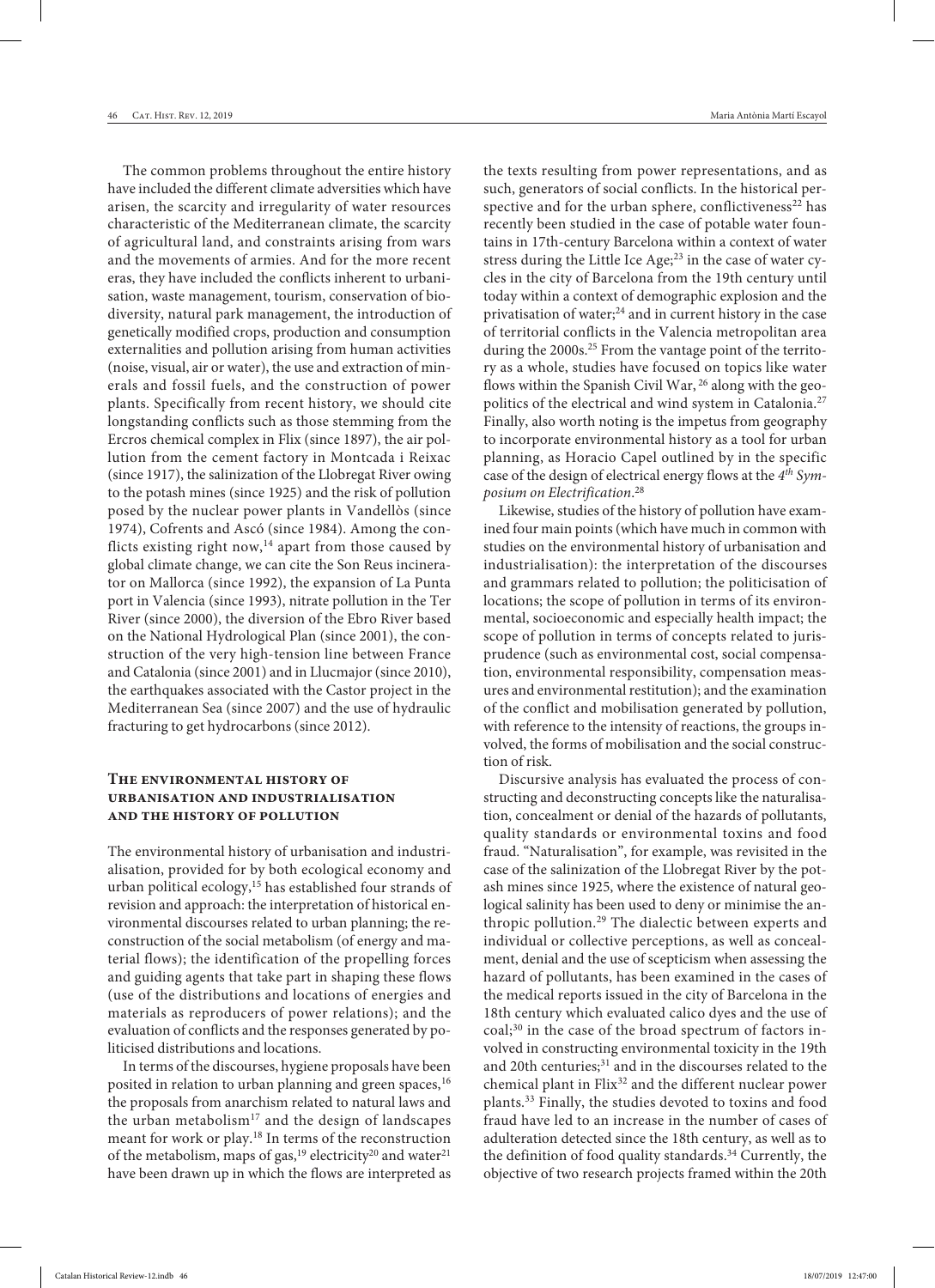46 Cat. Hist. Rev. 12, 2019 Maria Antònia Martí Escayol

The common problems throughout the entire history have included the different climate adversities which have arisen, the scarcity and irregularity of water resources characteristic of the Mediterranean climate, the scarcity of agricultural land, and constraints arising from wars and the movements of armies. And for the more recent eras, they have included the conflicts inherent to urbanisation, waste management, tourism, conservation of biodiversity, natural park management, the introduction of genetically modified crops, production and consumption externalities and pollution arising from human activities (noise, visual, air or water), the use and extraction of minerals and fossil fuels, and the construction of power plants. Specifically from recent history, we should cite longstanding conflicts such as those stemming from the Ercros chemical complex in Flix (since 1897), the air pollution from the cement factory in Montcada i Reixac (since 1917), the salinization of the Llobregat River owing to the potash mines (since 1925) and the risk of pollution posed by the nuclear power plants in Vandellòs (since 1974), Cofrents and Ascó (since 1984). Among the conflicts existing right now, $^{14}$  apart from those caused by global climate change, we can cite the Son Reus incinerator on Mallorca (since 1992), the expansion of La Punta port in Valencia (since 1993), nitrate pollution in the Ter River (since 2000), the diversion of the Ebro River based on the National Hydrological Plan (since 2001), the construction of the very high-tension line between France and Catalonia (since 2001) and in Llucmajor (since 2010), the earthquakes associated with the Castor project in the Mediterranean Sea (since 2007) and the use of hydraulic fracturing to get hydrocarbons (since 2012).

# **The environmental history of urbanisation and industrialisation and the history of pollution**

The environmental history of urbanisation and industrialisation, provided for by both ecological economy and urban political ecology,15 has established four strands of revision and approach: the interpretation of historical environmental discourses related to urban planning; the reconstruction of the social metabolism (of energy and material flows); the identification of the propelling forces and guiding agents that take part in shaping these flows (use of the distributions and locations of energies and materials as reproducers of power relations); and the evaluation of conflicts and the responses generated by politicised distributions and locations.

In terms of the discourses, hygiene proposals have been posited in relation to urban planning and green spaces,<sup>16</sup> the proposals from anarchism related to natural laws and the urban metabolism<sup>17</sup> and the design of landscapes meant for work or play.18 In terms of the reconstruction of the metabolism, maps of gas,<sup>19</sup> electricity<sup>20</sup> and water<sup>21</sup> have been drawn up in which the flows are interpreted as the texts resulting from power representations, and as such, generators of social conflicts. In the historical perspective and for the urban sphere, conflictiveness<sup>22</sup> has recently been studied in the case of potable water fountains in 17th-century Barcelona within a context of water stress during the Little Ice Age; $2<sup>3</sup>$  in the case of water cycles in the city of Barcelona from the 19th century until today within a context of demographic explosion and the privatisation of water;<sup>24</sup> and in current history in the case of territorial conflicts in the Valencia metropolitan area during the 2000s.<sup>25</sup> From the vantage point of the territory as a whole, studies have focused on topics like water flows within the Spanish Civil War, <sup>26</sup> along with the geopolitics of the electrical and wind system in Catalonia.<sup>27</sup> Finally, also worth noting is the impetus from geography to incorporate environmental history as a tool for urban planning, as Horacio Capel outlined by in the specific case of the design of electrical energy flows at the *4th Symposium on Electrification*. 28

Likewise, studies of the history of pollution have examined four main points (which have much in common with studies on the environmental history of urbanisation and industrialisation): the interpretation of the discourses and grammars related to pollution; the politicisation of locations; the scope of pollution in terms of its environmental, socioeconomic and especially health impact; the scope of pollution in terms of concepts related to jurisprudence (such as environmental cost, social compensation, environmental responsibility, compensation measures and environmental restitution); and the examination of the conflict and mobilisation generated by pollution, with reference to the intensity of reactions, the groups involved, the forms of mobilisation and the social construction of risk.

Discursive analysis has evaluated the process of constructing and deconstructing concepts like the naturalisation, concealment or denial of the hazards of pollutants, quality standards or environmental toxins and food fraud. "Naturalisation", for example, was revisited in the case of the salinization of the Llobregat River by the potash mines since 1925, where the existence of natural geological salinity has been used to deny or minimise the anthropic pollution.<sup>29</sup> The dialectic between experts and individual or collective perceptions, as well as concealment, denial and the use of scepticism when assessing the hazard of pollutants, has been examined in the cases of the medical reports issued in the city of Barcelona in the 18th century which evaluated calico dyes and the use of  $coal;^{30}$  in the case of the broad spectrum of factors involved in constructing environmental toxicity in the 19th and 20th centuries;<sup>31</sup> and in the discourses related to the chemical plant in Flix<sup>32</sup> and the different nuclear power plants.33 Finally, the studies devoted to toxins and food fraud have led to an increase in the number of cases of adulteration detected since the 18th century, as well as to the definition of food quality standards.<sup>34</sup> Currently, the objective of two research projects framed within the 20th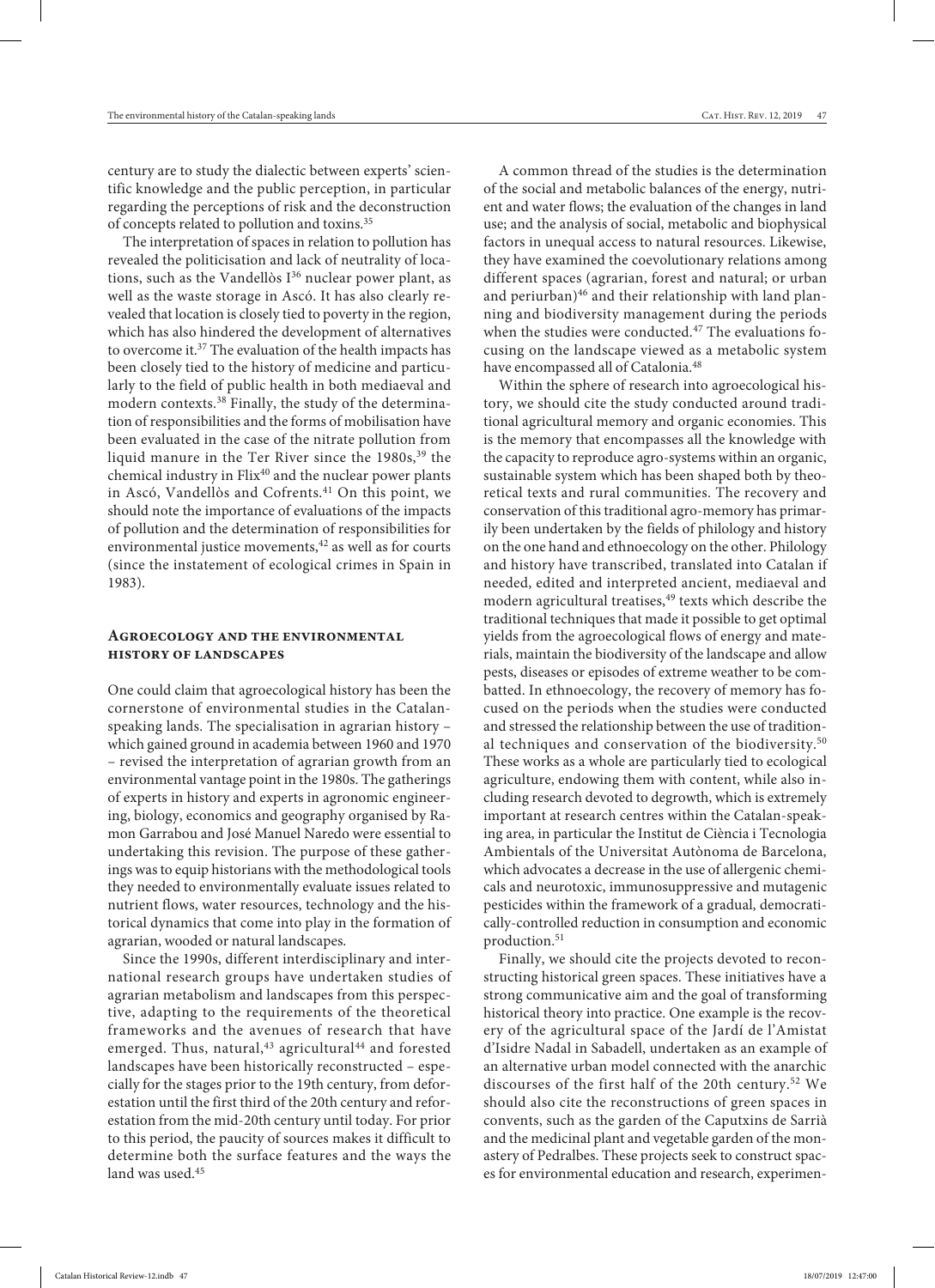century are to study the dialectic between experts' scientific knowledge and the public perception, in particular regarding the perceptions of risk and the deconstruction of concepts related to pollution and toxins.35

The interpretation of spaces in relation to pollution has revealed the politicisation and lack of neutrality of locations, such as the Vandellòs  $I^{36}$  nuclear power plant, as well as the waste storage in Ascó. It has also clearly revealed that location is closely tied to poverty in the region, which has also hindered the development of alternatives to overcome it.37 The evaluation of the health impacts has been closely tied to the history of medicine and particularly to the field of public health in both mediaeval and modern contexts.<sup>38</sup> Finally, the study of the determination of responsibilities and the forms of mobilisation have been evaluated in the case of the nitrate pollution from liquid manure in the Ter River since the 1980s,<sup>39</sup> the chemical industry in Flix<sup>40</sup> and the nuclear power plants in Ascó, Vandellòs and Cofrents.<sup>41</sup> On this point, we should note the importance of evaluations of the impacts of pollution and the determination of responsibilities for environmental justice movements,<sup>42</sup> as well as for courts (since the instatement of ecological crimes in Spain in 1983).

## **Agroecology and the environmental history of landscapes**

One could claim that agroecological history has been the cornerstone of environmental studies in the Catalanspeaking lands. The specialisation in agrarian history – which gained ground in academia between 1960 and 1970 – revised the interpretation of agrarian growth from an environmental vantage point in the 1980s. The gatherings of experts in history and experts in agronomic engineering, biology, economics and geography organised by Ramon Garrabou and José Manuel Naredo were essential to undertaking this revision. The purpose of these gatherings was to equip historians with the methodological tools they needed to environmentally evaluate issues related to nutrient flows, water resources, technology and the historical dynamics that come into play in the formation of agrarian, wooded or natural landscapes.

Since the 1990s, different interdisciplinary and international research groups have undertaken studies of agrarian metabolism and landscapes from this perspective, adapting to the requirements of the theoretical frameworks and the avenues of research that have emerged. Thus, natural,<sup>43</sup> agricultural<sup>44</sup> and forested landscapes have been historically reconstructed – especially for the stages prior to the 19th century, from deforestation until the first third of the 20th century and reforestation from the mid-20th century until today. For prior to this period, the paucity of sources makes it difficult to determine both the surface features and the ways the land was used.<sup>45</sup>

A common thread of the studies is the determination of the social and metabolic balances of the energy, nutrient and water flows; the evaluation of the changes in land use; and the analysis of social, metabolic and biophysical factors in unequal access to natural resources. Likewise, they have examined the coevolutionary relations among different spaces (agrarian, forest and natural; or urban and periurban)<sup>46</sup> and their relationship with land planning and biodiversity management during the periods when the studies were conducted.47 The evaluations focusing on the landscape viewed as a metabolic system have encompassed all of Catalonia.<sup>48</sup>

Within the sphere of research into agroecological history, we should cite the study conducted around traditional agricultural memory and organic economies. This is the memory that encompasses all the knowledge with the capacity to reproduce agro-systems within an organic, sustainable system which has been shaped both by theoretical texts and rural communities. The recovery and conservation of this traditional agro-memory has primarily been undertaken by the fields of philology and history on the one hand and ethnoecology on the other. Philology and history have transcribed, translated into Catalan if needed, edited and interpreted ancient, mediaeval and modern agricultural treatises,<sup>49</sup> texts which describe the traditional techniques that made it possible to get optimal yields from the agroecological flows of energy and materials, maintain the biodiversity of the landscape and allow pests, diseases or episodes of extreme weather to be combatted. In ethnoecology, the recovery of memory has focused on the periods when the studies were conducted and stressed the relationship between the use of traditional techniques and conservation of the biodiversity.<sup>50</sup> These works as a whole are particularly tied to ecological agriculture, endowing them with content, while also including research devoted to degrowth, which is extremely important at research centres within the Catalan-speaking area, in particular the Institut de Ciència i Tecnologia Ambientals of the Universitat Autònoma de Barcelona, which advocates a decrease in the use of allergenic chemicals and neurotoxic, immunosuppressive and mutagenic pesticides within the framework of a gradual, democratically-controlled reduction in consumption and economic production.<sup>51</sup>

Finally, we should cite the projects devoted to reconstructing historical green spaces. These initiatives have a strong communicative aim and the goal of transforming historical theory into practice. One example is the recovery of the agricultural space of the Jardí de l'Amistat d'Isidre Nadal in Sabadell, undertaken as an example of an alternative urban model connected with the anarchic discourses of the first half of the 20th century.52 We should also cite the reconstructions of green spaces in convents, such as the garden of the Caputxins de Sarrià and the medicinal plant and vegetable garden of the monastery of Pedralbes. These projects seek to construct spaces for environmental education and research, experimen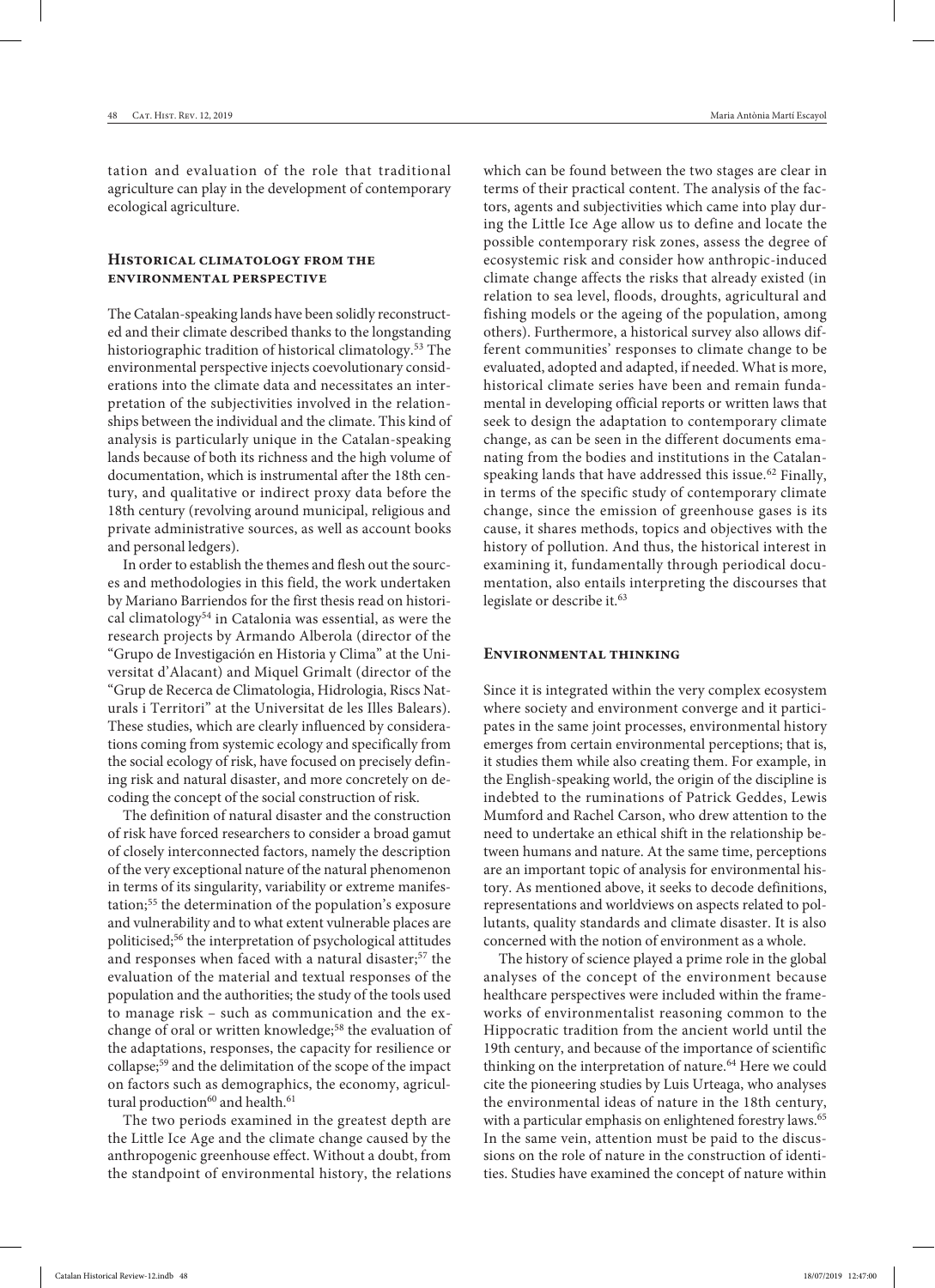tation and evaluation of the role that traditional agriculture can play in the development of contemporary ecological agriculture.

## **Historical climatology from the environmental perspective**

The Catalan-speaking lands have been solidly reconstructed and their climate described thanks to the longstanding historiographic tradition of historical climatology.<sup>53</sup> The environmental perspective injects coevolutionary considerations into the climate data and necessitates an interpretation of the subjectivities involved in the relationships between the individual and the climate. This kind of analysis is particularly unique in the Catalan-speaking lands because of both its richness and the high volume of documentation, which is instrumental after the 18th century, and qualitative or indirect proxy data before the 18th century (revolving around municipal, religious and private administrative sources, as well as account books and personal ledgers).

In order to establish the themes and flesh out the sources and methodologies in this field, the work undertaken by Mariano Barriendos for the first thesis read on historical climatology<sup>54</sup> in Catalonia was essential, as were the research projects by Armando Alberola (director of the "Grupo de Investigación en Historia y Clima" at the Universitat d'Alacant) and Miquel Grimalt (director of the "Grup de Recerca de Climatologia, Hidrologia, Riscs Naturals i Territori" at the Universitat de les Illes Balears). These studies, which are clearly influenced by considerations coming from systemic ecology and specifically from the social ecology of risk, have focused on precisely defining risk and natural disaster, and more concretely on decoding the concept of the social construction of risk.

The definition of natural disaster and the construction of risk have forced researchers to consider a broad gamut of closely interconnected factors, namely the description of the very exceptional nature of the natural phenomenon in terms of its singularity, variability or extreme manifestation;55 the determination of the population's exposure and vulnerability and to what extent vulnerable places are politicised;56 the interpretation of psychological attitudes and responses when faced with a natural disaster;<sup>57</sup> the evaluation of the material and textual responses of the population and the authorities; the study of the tools used to manage risk – such as communication and the exchange of oral or written knowledge;<sup>58</sup> the evaluation of the adaptations, responses, the capacity for resilience or collapse;59 and the delimitation of the scope of the impact on factors such as demographics, the economy, agricultural production<sup>60</sup> and health.<sup>61</sup>

The two periods examined in the greatest depth are the Little Ice Age and the climate change caused by the anthropogenic greenhouse effect. Without a doubt, from the standpoint of environmental history, the relations

which can be found between the two stages are clear in terms of their practical content. The analysis of the factors, agents and subjectivities which came into play during the Little Ice Age allow us to define and locate the possible contemporary risk zones, assess the degree of ecosystemic risk and consider how anthropic-induced climate change affects the risks that already existed (in relation to sea level, floods, droughts, agricultural and fishing models or the ageing of the population, among others). Furthermore, a historical survey also allows different communities' responses to climate change to be evaluated, adopted and adapted, if needed. What is more, historical climate series have been and remain fundamental in developing official reports or written laws that seek to design the adaptation to contemporary climate change, as can be seen in the different documents emanating from the bodies and institutions in the Catalanspeaking lands that have addressed this issue.<sup>62</sup> Finally, in terms of the specific study of contemporary climate change, since the emission of greenhouse gases is its cause, it shares methods, topics and objectives with the history of pollution. And thus, the historical interest in examining it, fundamentally through periodical documentation, also entails interpreting the discourses that legislate or describe it.<sup>63</sup>

#### **Environmental thinking**

Since it is integrated within the very complex ecosystem where society and environment converge and it participates in the same joint processes, environmental history emerges from certain environmental perceptions; that is, it studies them while also creating them. For example, in the English-speaking world, the origin of the discipline is indebted to the ruminations of Patrick Geddes, Lewis Mumford and Rachel Carson, who drew attention to the need to undertake an ethical shift in the relationship between humans and nature. At the same time, perceptions are an important topic of analysis for environmental history. As mentioned above, it seeks to decode definitions, representations and worldviews on aspects related to pollutants, quality standards and climate disaster. It is also concerned with the notion of environment as a whole.

The history of science played a prime role in the global analyses of the concept of the environment because healthcare perspectives were included within the frameworks of environmentalist reasoning common to the Hippocratic tradition from the ancient world until the 19th century, and because of the importance of scientific thinking on the interpretation of nature.<sup>64</sup> Here we could cite the pioneering studies by Luis Urteaga, who analyses the environmental ideas of nature in the 18th century, with a particular emphasis on enlightened forestry laws.<sup>65</sup> In the same vein, attention must be paid to the discussions on the role of nature in the construction of identities. Studies have examined the concept of nature within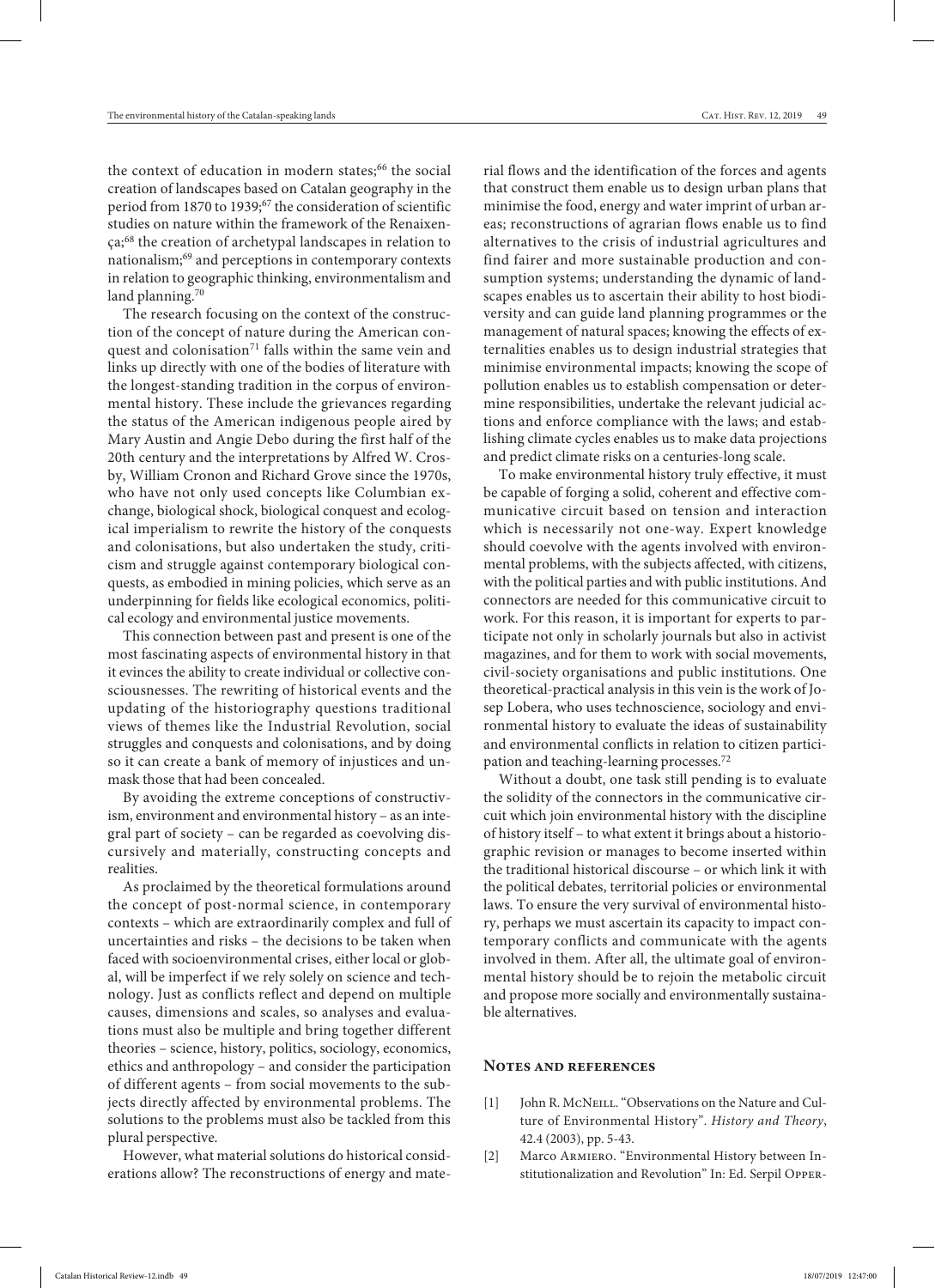the context of education in modern states;<sup>66</sup> the social creation of landscapes based on Catalan geography in the period from 1870 to 1939;<sup>67</sup> the consideration of scientific studies on nature within the framework of the Renaixença;68 the creation of archetypal landscapes in relation to nationalism;69 and perceptions in contemporary contexts in relation to geographic thinking, environmentalism and land planning.<sup>70</sup>

The research focusing on the context of the construction of the concept of nature during the American conquest and colonisation<sup>71</sup> falls within the same vein and links up directly with one of the bodies of literature with the longest-standing tradition in the corpus of environmental history. These include the grievances regarding the status of the American indigenous people aired by Mary Austin and Angie Debo during the first half of the 20th century and the interpretations by Alfred W. Crosby, William Cronon and Richard Grove since the 1970s, who have not only used concepts like Columbian exchange, biological shock, biological conquest and ecological imperialism to rewrite the history of the conquests and colonisations, but also undertaken the study, criticism and struggle against contemporary biological conquests, as embodied in mining policies, which serve as an underpinning for fields like ecological economics, political ecology and environmental justice movements.

This connection between past and present is one of the most fascinating aspects of environmental history in that it evinces the ability to create individual or collective consciousnesses. The rewriting of historical events and the updating of the historiography questions traditional views of themes like the Industrial Revolution, social struggles and conquests and colonisations, and by doing so it can create a bank of memory of injustices and unmask those that had been concealed.

By avoiding the extreme conceptions of constructivism, environment and environmental history – as an integral part of society – can be regarded as coevolving discursively and materially, constructing concepts and realities.

As proclaimed by the theoretical formulations around the concept of post-normal science, in contemporary contexts – which are extraordinarily complex and full of uncertainties and risks – the decisions to be taken when faced with socioenvironmental crises, either local or global, will be imperfect if we rely solely on science and technology. Just as conflicts reflect and depend on multiple causes, dimensions and scales, so analyses and evaluations must also be multiple and bring together different theories – science, history, politics, sociology, economics, ethics and anthropology – and consider the participation of different agents – from social movements to the subjects directly affected by environmental problems. The solutions to the problems must also be tackled from this plural perspective.

However, what material solutions do historical considerations allow? The reconstructions of energy and material flows and the identification of the forces and agents that construct them enable us to design urban plans that minimise the food, energy and water imprint of urban areas; reconstructions of agrarian flows enable us to find alternatives to the crisis of industrial agricultures and find fairer and more sustainable production and consumption systems; understanding the dynamic of landscapes enables us to ascertain their ability to host biodiversity and can guide land planning programmes or the management of natural spaces; knowing the effects of externalities enables us to design industrial strategies that minimise environmental impacts; knowing the scope of pollution enables us to establish compensation or determine responsibilities, undertake the relevant judicial actions and enforce compliance with the laws; and establishing climate cycles enables us to make data projections and predict climate risks on a centuries-long scale.

To make environmental history truly effective, it must be capable of forging a solid, coherent and effective communicative circuit based on tension and interaction which is necessarily not one-way. Expert knowledge should coevolve with the agents involved with environmental problems, with the subjects affected, with citizens, with the political parties and with public institutions. And connectors are needed for this communicative circuit to work. For this reason, it is important for experts to participate not only in scholarly journals but also in activist magazines, and for them to work with social movements, civil-society organisations and public institutions. One theoretical-practical analysis in this vein is the work of Josep Lobera, who uses technoscience, sociology and environmental history to evaluate the ideas of sustainability and environmental conflicts in relation to citizen participation and teaching-learning processes.72

Without a doubt, one task still pending is to evaluate the solidity of the connectors in the communicative circuit which join environmental history with the discipline of history itself – to what extent it brings about a historiographic revision or manages to become inserted within the traditional historical discourse – or which link it with the political debates, territorial policies or environmental laws. To ensure the very survival of environmental history, perhaps we must ascertain its capacity to impact contemporary conflicts and communicate with the agents involved in them. After all, the ultimate goal of environmental history should be to rejoin the metabolic circuit and propose more socially and environmentally sustainable alternatives.

#### **Notes and references**

- [1] John R. McNeILL. "Observations on the Nature and Culture of Environmental History". *History and Theory*, 42.4 (2003), pp. 5-43.
- [2] Marco Armiero. "Environmental History between Institutionalization and Revolution" In: Ed. Serpil Opper-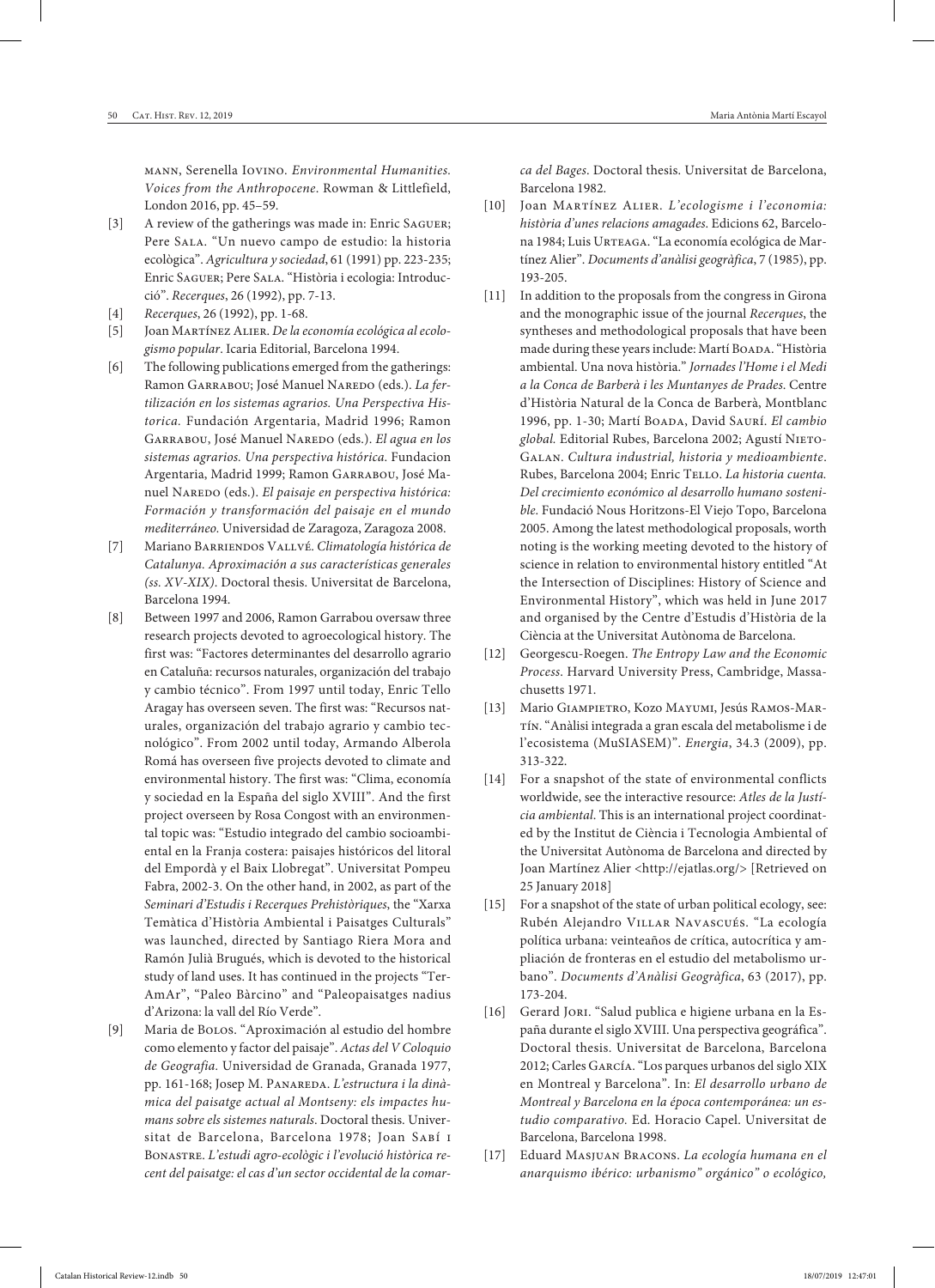mann, Serenella Iovino. *Environmental Humanities. Voices from the Anthropocene*. Rowman & Littlefield, London 2016, pp. 45–59.

- [3] A review of the gatherings was made in: Enric SAGUER; Pere Sala. "Un nuevo campo de estudio: la historia ecològica". *Agricultura y sociedad*, 61 (1991) pp. 223-235; Enric Saguer; Pere Sala. "Història i ecologia: Introducció". *Recerques*, 26 (1992), pp. 7-13.
- [4] *Recerques*, 26 (1992), pp. 1-68.
- [5] Joan Martínez Alier. *De la economía ecológica al ecologismo popular*. Icaria Editorial, Barcelona 1994.
- [6] The following publications emerged from the gatherings: Ramon GARRABOU; José Manuel NAREDO (eds.). *La fertilización en los sistemas agrarios. Una Perspectiva Historica.* Fundación Argentaria, Madrid 1996; Ramon GARRABOU, José Manuel NAREDO (eds.). *El agua en los sistemas agrarios. Una perspectiva histórica*. Fundacion Argentaria, Madrid 1999; Ramon Garrabou, José Manuel NAREDO (eds.). *El paisaje en perspectiva histórica*: *Formación y transformación del paisaje en el mundo mediterráneo.* Universidad de Zaragoza, Zaragoza 2008.
- [7] Mariano Barriendos Vallvé. *Climatología histórica de Catalunya. Aproximación a sus características generales (ss. XV-XIX)*. Doctoral thesis. Universitat de Barcelona, Barcelona 1994.
- [8] Between 1997 and 2006, Ramon Garrabou oversaw three research projects devoted to agroecological history. The first was: "Factores determinantes del desarrollo agrario en Cataluña: recursos naturales, organización del trabajo y cambio técnico". From 1997 until today, Enric Tello Aragay has overseen seven. The first was: "Recursos naturales, organización del trabajo agrario y cambio tecnológico". From 2002 until today, Armando Alberola Romá has overseen five projects devoted to climate and environmental history. The first was: "Clima, economía y sociedad en la España del siglo XVIII". And the first project overseen by Rosa Congost with an environmental topic was: "Estudio integrado del cambio socioambiental en la Franja costera: paisajes históricos del litoral del Empordà y el Baix Llobregat". Universitat Pompeu Fabra, 2002-3. On the other hand, in 2002, as part of the *Seminari d'Estudis i Recerques Prehistòriques*, the "Xarxa Temàtica d'Història Ambiental i Paisatges Culturals" was launched, directed by Santiago Riera Mora and Ramón Julià Brugués, which is devoted to the historical study of land uses. It has continued in the projects "Ter-AmAr", "Paleo Bàrcino" and "Paleopaisatges nadius d'Arizona: la vall del Río Verde".
- [9] Maria de Bolos. "Aproximación al estudio del hombre como elemento y factor del paisaje". *Actas del V Coloquio de Geografia.* Universidad de Granada, Granada 1977, pp. 161-168; Josep M. PANAREDA. L'estructura i la dinà*mica del paisatge actual al Montseny: els impactes humans sobre els sistemes naturals*. Doctoral thesis. Universitat de Barcelona, Barcelona 1978; Joan Sabí i Bonastre. *L'estudi agro-ecològic i l'evolució històrica recent del paisatge: el cas d'un sector occidental de la comar-*

*ca del Bages*. Doctoral thesis. Universitat de Barcelona, Barcelona 1982.

- [10] Joan Martínez Alier. *L'ecologisme i l'economia: història d'unes relacions amagades*. Edicions 62, Barcelona 1984; Luis Urteaga. "La economía ecológica de Martínez Alier". *Documents d'anàlisi geogràfica*, 7 (1985), pp. 193-205.
- [11] In addition to the proposals from the congress in Girona and the monographic issue of the journal *Recerques*, the syntheses and methodological proposals that have been made during these years include: Martí BOADA. "Història ambiental. Una nova història." *Jornades l'Home i el Medi a la Conca de Barberà i les Muntanyes de Prades*. Centre d'Història Natural de la Conca de Barberà, Montblanc 1996, pp. 1-30; Martí Boada, David Saurí. *El cambio*  global. Editorial Rubes, Barcelona 2002; Agustí NIETO-Galan. *Cultura industrial, historia y medioambiente*. Rubes, Barcelona 2004; Enric Tello. *La historia cuenta. Del crecimiento económico al desarrollo humano sostenible*. Fundació Nous Horitzons-El Viejo Topo, Barcelona 2005. Among the latest methodological proposals, worth noting is the working meeting devoted to the history of science in relation to environmental history entitled "At the Intersection of Disciplines: History of Science and Environmental History", which was held in June 2017 and organised by the Centre d'Estudis d'Història de la Ciència at the Universitat Autònoma de Barcelona.
- [12] Georgescu-Roegen. *The Entropy Law and the Economic Process*. Harvard University Press, Cambridge, Massachusetts 1971.
- [13] Mario Giampietro, Kozo Mayumi, Jesús Ramos-Martín. "Anàlisi integrada a gran escala del metabolisme i de l'ecosistema (MuSIASEM)". *Energia*, 34.3 (2009), pp. 313-322.
- [14] For a snapshot of the state of environmental conflicts worldwide, see the interactive resource: *Atles de la Justícia ambiental*. This is an international project coordinated by the Institut de Ciència i Tecnologia Ambiental of the Universitat Autònoma de Barcelona and directed by Joan Martínez Alier <http://ejatlas.org/> [Retrieved on 25 January 2018]
- [15] For a snapshot of the state of urban political ecology, see: Rubén Alejandro Villar Navascués. "La ecología política urbana: veinteaños de crítica, autocrítica y ampliación de fronteras en el estudio del metabolismo urbano". *Documents d'Anàlisi Geogràfica*, 63 (2017), pp. 173-204.
- [16] Gerard Jori. "Salud publica e higiene urbana en la España durante el siglo XVIII. Una perspectiva geográfica". Doctoral thesis. Universitat de Barcelona, Barcelona 2012; Carles García. "Los parques urbanos del siglo XIX en Montreal y Barcelona". In: *El desarrollo urbano de Montreal y Barcelona en la época contemporánea: un estudio comparativo.* Ed. Horacio Capel. Universitat de Barcelona, Barcelona 1998.
- [17] Eduard Masjuan Bracons. *La ecología humana en el anarquismo ibérico: urbanismo" orgánico" o ecológico,*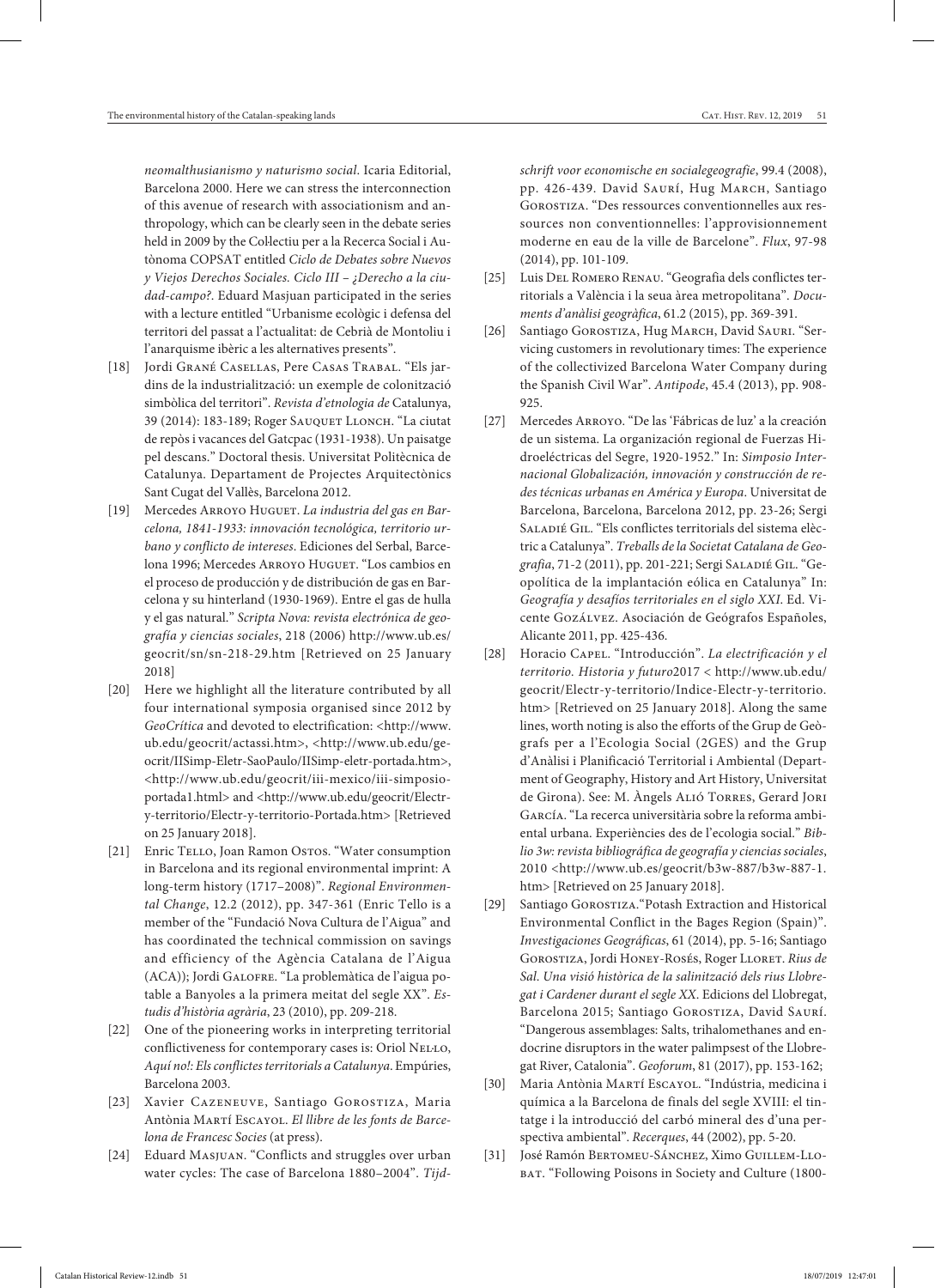*neomalthusianismo y naturismo social*. Icaria Editorial, Barcelona 2000. Here we can stress the interconnection of this avenue of research with associationism and anthropology, which can be clearly seen in the debate series held in 2009 by the Col·lectiu per a la Recerca Social i Autònoma COPSAT entitled *Ciclo de Debates sobre Nuevos y Viejos Derechos Sociales. Ciclo III – ¿Derecho a la ciudad-campo?*. Eduard Masjuan participated in the series with a lecture entitled "Urbanisme ecològic i defensa del territori del passat a l'actualitat: de Cebrià de Montoliu i l'anarquisme ibèric a les alternatives presents".

- [18] Jordi Grané Casellas, Pere Casas Trabal. "Els jardins de la industrialització: un exemple de colonització simbòlica del territori". *Revista d'etnologia de* Catalunya, 39 (2014): 183-189; Roger Sauquet Llonch. "La ciutat de repòs i vacances del Gatcpac (1931-1938). Un paisatge pel descans." Doctoral thesis. Universitat Politècnica de Catalunya. Departament de Projectes Arquitectònics Sant Cugat del Vallès, Barcelona 2012.
- [19] Mercedes ARROYO HUGUET. *La industria del gas en Barcelona, 1841-1933: innovación tecnológica, territorio urbano y conflicto de intereses*. Ediciones del Serbal, Barcelona 1996; Mercedes Arroyo Huguet. "Los cambios en el proceso de producción y de distribución de gas en Barcelona y su hinterland (1930-1969). Entre el gas de hulla y el gas natural." *Scripta Nova: revista electrónica de geografía y ciencias sociales*, 218 (2006) http://www.ub.es/ geocrit/sn/sn-218-29.htm [Retrieved on 25 January 2018]
- [20] Here we highlight all the literature contributed by all four international symposia organised since 2012 by *GeoCrítica* and devoted to electrification: <http://www. ub.edu/geocrit/actassi.htm>, <http://www.ub.edu/geocrit/IISimp-Eletr-SaoPaulo/IISimp-eletr-portada.htm>, <http://www.ub.edu/geocrit/iii-mexico/iii-simposioportada1.html> and <http://www.ub.edu/geocrit/Electry-territorio/Electr-y-territorio-Portada.htm> [Retrieved on 25 January 2018].
- [21] Enric TELLO, Joan Ramon Ostos. "Water consumption in Barcelona and its regional environmental imprint: A long-term history (1717–2008)". *Regional Environmental Change*, 12.2 (2012), pp. 347-361 (Enric Tello is a member of the "Fundació Nova Cultura de l'Aigua" and has coordinated the technical commission on savings and efficiency of the Agència Catalana de l'Aigua (ACA)); Jordi Galofre. "La problemàtica de l'aigua potable a Banyoles a la primera meitat del segle XX". *Estudis d'història agrària*, 23 (2010), pp. 209-218.
- [22] One of the pioneering works in interpreting territorial conflictiveness for contemporary cases is: Oriol NELLO, *Aquí no!: Els conflictes territorials a Catalunya*. Empúries, Barcelona 2003.
- [23] Xavier CAZENEUVE, Santiago GOROSTIZA, Maria Antònia Martí Escayol. *El llibre de les fonts de Barcelona de Francesc Socies* (at press).
- [24] Eduard Masjuan. "Conflicts and struggles over urban water cycles: The case of Barcelona 1880–2004". *Tijd-*

*schrift voor economische en socialegeografie*, 99.4 (2008), pp. 426-439. David SAURÍ, Hug MARCH, Santiago Gorostiza. "Des ressources conventionnelles aux ressources non conventionnelles: l'approvisionnement moderne en eau de la ville de Barcelone". *Flux*, 97-98 (2014), pp. 101-109.

- [25] Luis Del Romero Renau. "Geografia dels conflictes territorials a València i la seua àrea metropolitana". *Documents d'anàlisi geogràfica*, 61.2 (2015), pp. 369-391.
- [26] Santiago GOROSTIZA, Hug MARCH, David SAURI. "Servicing customers in revolutionary times: The experience of the collectivized Barcelona Water Company during the Spanish Civil War". *Antipode*, 45.4 (2013), pp. 908- 925.
- [27] Mercedes Arroyo. "De las 'Fábricas de luz' a la creación de un sistema. La organización regional de Fuerzas Hidroeléctricas del Segre, 1920-1952." In: *Simposio Internacional Globalización, innovación y construcción de redes técnicas urbanas en América y Europa*. Universitat de Barcelona, Barcelona, Barcelona 2012, pp. 23-26; Sergi Saladié Gil. "Els conflictes territorials del sistema elèctric a Catalunya". *Treballs de la Societat Catalana de Geografia*, 71-2 (2011), pp. 201-221; Sergi Saladié Gil. "Geopolítica de la implantación eólica en Catalunya" In: *Geografía y desafíos territoriales en el siglo XXI*. Ed. Vicente Gozálvez. Asociación de Geógrafos Españoles, Alicante 2011, pp. 425-436.
- [28] Horacio Capel. "Introducción". *La electrificación y el territorio. Historia y futuro*2017 < http://www.ub.edu/ geocrit/Electr-y-territorio/Indice-Electr-y-territorio. htm> [Retrieved on 25 January 2018]. Along the same lines, worth noting is also the efforts of the Grup de Geògrafs per a l'Ecologia Social (2GES) and the Grup d'Anàlisi i Planificació Territorial i Ambiental (Department of Geography, History and Art History, Universitat de Girona). See: M. Àngels Alió Torres, Gerard Jori García. "La recerca universitària sobre la reforma ambiental urbana. Experiències des de l'ecologia social." *Biblio 3w: revista bibliográfica de geografía y ciencias sociales*, 2010 <http://www.ub.es/geocrit/b3w-887/b3w-887-1. htm> [Retrieved on 25 January 2018].
- [29] Santiago Gorostiza."Potash Extraction and Historical Environmental Conflict in the Bages Region (Spain)". *Investigaciones Geográficas*, 61 (2014), pp. 5-16; Santiago GOROSTIZA, Jordi HONEY-ROSÉS, Roger LLORET. Rius de *Sal*. *Una visió històrica de la salinització dels rius Llobregat i Cardener durant el segle XX*. Edicions del Llobregat, Barcelona 2015; Santiago GOROSTIZA, David SAURÍ. "Dangerous assemblages: Salts, trihalomethanes and endocrine disruptors in the water palimpsest of the Llobregat River, Catalonia". *Geoforum*, 81 (2017), pp. 153-162;
- [30] Maria Antònia Martí Escayol. "Indústria, medicina i química a la Barcelona de finals del segle XVIII: el tintatge i la introducció del carbó mineral des d'una perspectiva ambiental". *Recerques*, 44 (2002), pp. 5-20.
- [31] José Ramón Bertomeu-Sánchez, Ximo Guillem-Llo-BAT. "Following Poisons in Society and Culture (1800-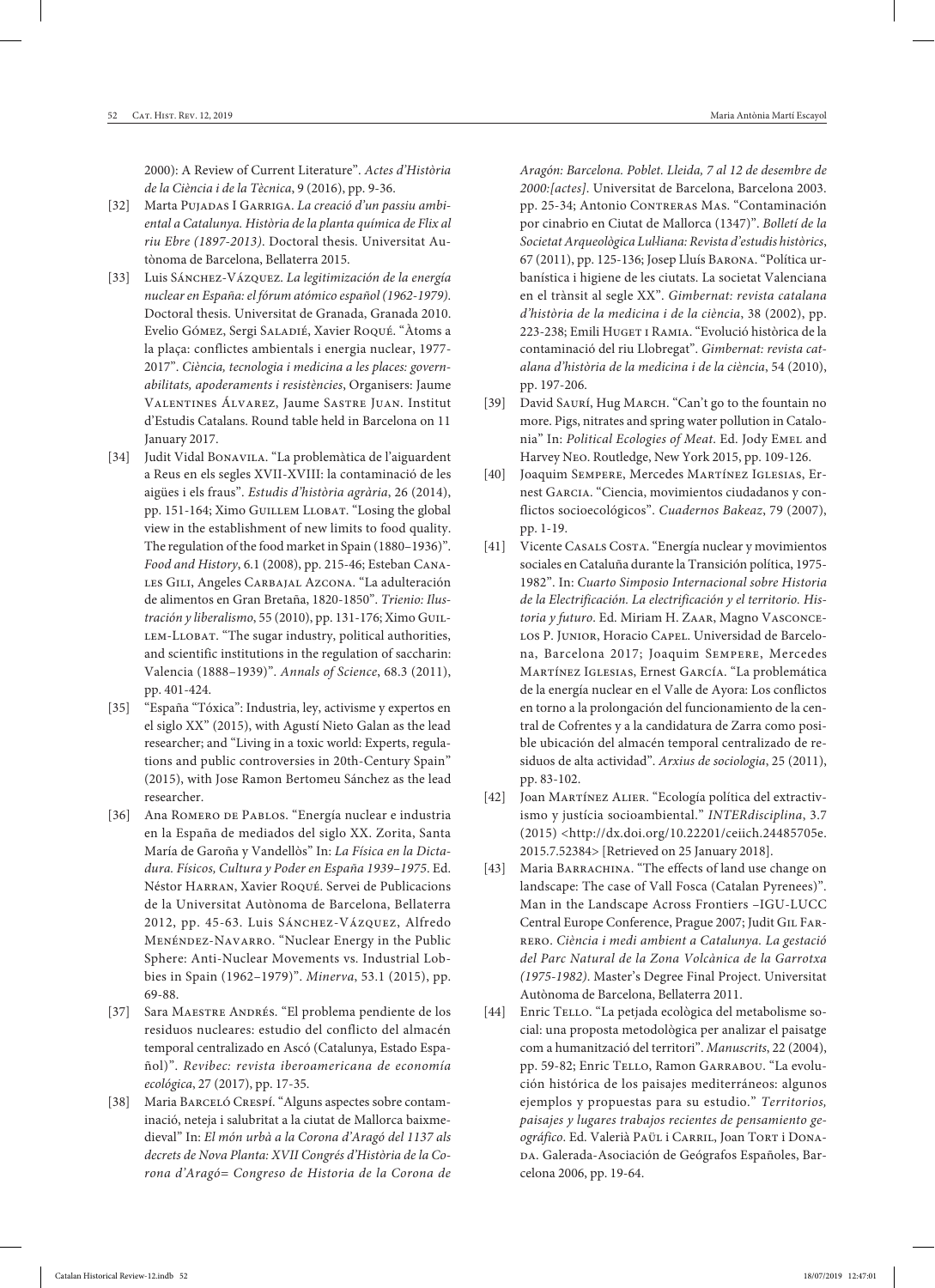2000): A Review of Current Literature". *Actes d'Història de la Ciència i de la Tècnica*, 9 (2016), pp. 9-36.

- [32] Marta Pujadas I Garriga. *La creació d'un passiu ambiental a Catalunya. Història de la planta química de Flix al riu Ebre (1897-2013)*. Doctoral thesis. Universitat Autònoma de Barcelona, Bellaterra 2015.
- [33] Luis Sánchez-Vázquez. *La legitimización de la energía nuclear en España: el fórum atómico español (1962-1979)*. Doctoral thesis. Universitat de Granada, Granada 2010. Evelio Gómez, Sergi Saladié, Xavier Roqué. "Àtoms a la plaça: conflictes ambientals i energia nuclear, 1977- 2017". *Ciència, tecnologia i medicina a les places: governabilitats, apoderaments i resistències*, Organisers: Jaume Valentines Álvarez, Jaume Sastre Juan. Institut d'Estudis Catalans. Round table held in Barcelona on 11 January 2017.
- [34] Judit Vidal Bonavila. "La problemàtica de l'aiguardent a Reus en els segles XVII-XVIII: la contaminació de les aigües i els fraus". *Estudis d'història agrària*, 26 (2014), pp. 151-164; Ximo Guillem Llobat. "Losing the global view in the establishment of new limits to food quality. The regulation of the food market in Spain (1880–1936)". *Food and History*, 6.1 (2008), pp. 215-46; Esteban Canales Gili, Angeles Carbajal Azcona. "La adulteración de alimentos en Gran Bretaña, 1820-1850". *Trienio: Ilustración y liberalismo*, 55 (2010), pp. 131-176; Ximo Guil-LEM-LLOBAT. "The sugar industry, political authorities, and scientific institutions in the regulation of saccharin: Valencia (1888–1939)". *Annals of Science*, 68.3 (2011), pp. 401-424.
- [35] "España "Tóxica": Industria, ley, activisme y expertos en el siglo XX" (2015), with Agustí Nieto Galan as the lead researcher; and "Living in a toxic world: Experts, regulations and public controversies in 20th-Century Spain" (2015), with Jose Ramon Bertomeu Sánchez as the lead researcher.
- [36] Ana Romero de Pablos. "Energía nuclear e industria en la España de mediados del siglo XX. Zorita, Santa María de Garoña y Vandellòs" In: *La Física en la Dictadura. Físicos, Cultura y Poder en España 1939–1975*. Ed. Néstor Harran, Xavier Roqué. Servei de Publicacions de la Universitat Autònoma de Barcelona, Bellaterra 2012, pp. 45-63. Luis Sánchez-Vázquez, Alfredo Menéndez-Navarro. "Nuclear Energy in the Public Sphere: Anti-Nuclear Movements vs. Industrial Lobbies in Spain (1962–1979)". *Minerva*, 53.1 (2015), pp. 69-88.
- [37] Sara MAESTRE ANDRÉS. "El problema pendiente de los residuos nucleares: estudio del conflicto del almacén temporal centralizado en Ascó (Catalunya, Estado Español)". *Revibec: revista iberoamericana de economía ecológica*, 27 (2017), pp. 17-35.
- [38] Maria Barceló Crespí. "Alguns aspectes sobre contaminació, neteja i salubritat a la ciutat de Mallorca baixmedieval" In: *El món urbà a la Corona d'Aragó del 1137 als decrets de Nova Planta: XVII Congrés d'Història de la Corona d'Aragó= Congreso de Historia de la Corona de*

*Aragón: Barcelona. Poblet. Lleida, 7 al 12 de desembre de 2000:[actes]*. Universitat de Barcelona, Barcelona 2003. pp. 25-34; Antonio CONTRERAS MAS. "Contaminación por cinabrio en Ciutat de Mallorca (1347)". *Bolletí de la Societat Arqueològica Lul·liana: Revista d'estudis històrics*, 67 (2011), pp. 125-136; Josep Lluís Barona. "Política urbanística i higiene de les ciutats. La societat Valenciana en el trànsit al segle XX". *Gimbernat: revista catalana d'història de la medicina i de la ciència*, 38 (2002), pp. 223-238; Emili HUGET I RAMIA. "Evolució històrica de la contaminació del riu Llobregat". *Gimbernat: revista catalana d'història de la medicina i de la ciència*, 54 (2010), pp. 197-206.

- [39] David SAURÍ, Hug MARCH. "Can't go to the fountain no more. Pigs, nitrates and spring water pollution in Catalonia" In: *Political Ecologies of Meat*. Ed. Jody Emel and Harvey Neo. Routledge, New York 2015, pp. 109-126.
- [40] Joaquim Sempere, Mercedes Martínez Iglesias, Ernest Garcia. "Ciencia, movimientos ciudadanos y conflictos socioecológicos". *Cuadernos Bakeaz*, 79 (2007), pp. 1-19.
- [41] Vicente Casals Costa. "Energía nuclear y movimientos sociales en Cataluña durante la Transición política, 1975- 1982". In: *Cuarto Simposio Internacional sobre Historia de la Electrificación. La electrificación y el territorio. Historia y futuro*. Ed. Miriam H. Zaar, Magno Vasconce-LOS P. JUNIOR, Horacio CAPEL. Universidad de Barcelona, Barcelona 2017; Joaquim Sempere, Mercedes Martínez Iglesias, Ernest García. "La problemática de la energía nuclear en el Valle de Ayora: Los conflictos en torno a la prolongación del funcionamiento de la central de Cofrentes y a la candidatura de Zarra como posible ubicación del almacén temporal centralizado de residuos de alta actividad". *Arxius de sociologia*, 25 (2011), pp. 83-102.
- [42] Joan Martínez Alier. "Ecología política del extractivismo y justícia socioambiental." *INTERdisciplina*, 3.7 (2015) <http://dx.doi.org/10.22201/ceiich.24485705e. 2015.7.52384> [Retrieved on 25 January 2018].
- [43] Maria BARRACHINA. "The effects of land use change on landscape: The case of Vall Fosca (Catalan Pyrenees)". Man in the Landscape Across Frontiers –IGU-LUCC Central Europe Conference, Prague 2007; Judit Gil Farrero. *Ciència i medi ambient a Catalunya. La gestació del Parc Natural de la Zona Volcànica de la Garrotxa (1975-1982)*. Master's Degree Final Project. Universitat Autònoma de Barcelona, Bellaterra 2011.
- [44] Enric TELLO. "La petjada ecològica del metabolisme social: una proposta metodològica per analizar el paisatge com a humanització del territori". *Manuscrits*, 22 (2004), pp. 59-82; Enric Tello, Ramon GARRABOU. "La evolución histórica de los paisajes mediterráneos: algunos ejemplos y propuestas para su estudio." *Territorios, paisajes y lugares trabajos recientes de pensamiento ge*ográfico. Ed. Valerià Paül i Carril, Joan Tort i Donada. Galerada-Asociación de Geógrafos Españoles, Barcelona 2006, pp. 19-64.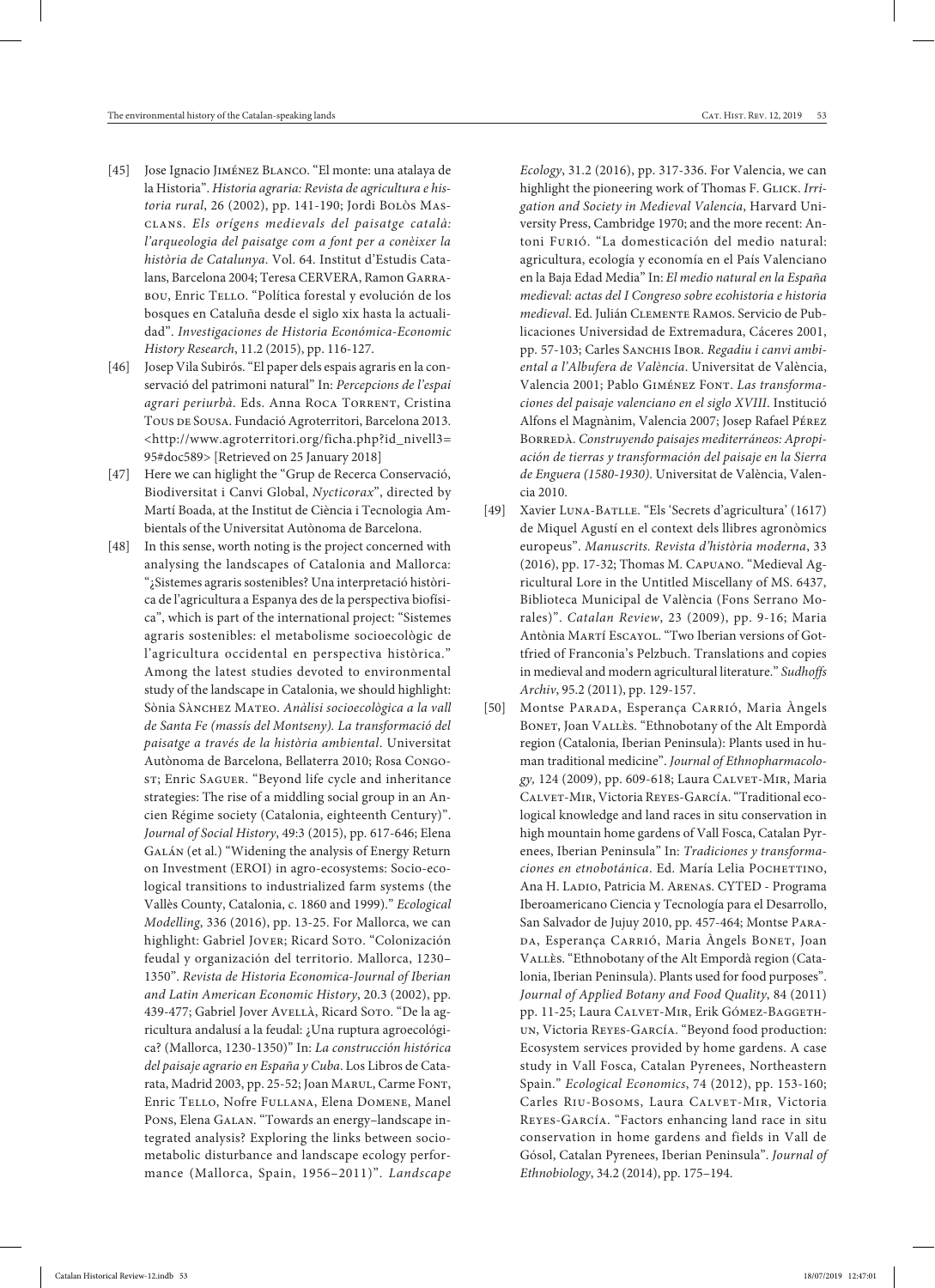- [45] Jose Ignacio Jiménez Blanco. "El monte: una atalaya de la Historia". *Historia agraria: Revista de agricultura e historia rural*, 26 (2002), pp. 141-190; Jordi Bolòs Masclans. *Els orígens medievals del paisatge català: l'arqueologia del paisatge com a font per a conèixer la història de Catalunya*. Vol. 64. Institut d'Estudis Catalans, Barcelona 2004; Teresa CERVERA, Ramon GARRA-BOU, Enric TELLO. "Política forestal y evolución de los bosques en Cataluña desde el siglo xix hasta la actualidad". *Investigaciones de Historia Económica-Economic History Research*, 11.2 (2015), pp. 116-127.
- [46] Josep Vila Subirós. "El paper dels espais agraris en la conservació del patrimoni natural" In: *Percepcions de l'espai agrari periurbà*. Eds. Anna Roca Torrent, Cristina Tous de Sousa. Fundació Agroterritori, Barcelona 2013. <http://www.agroterritori.org/ficha.php?id\_nivell3= 95#doc589> [Retrieved on 25 January 2018]
- [47] Here we can higlight the "Grup de Recerca Conservació, Biodiversitat i Canvi Global, *Nycticorax*", directed by Martí Boada, at the Institut de Ciència i Tecnologia Ambientals of the Universitat Autònoma de Barcelona.
- [48] In this sense, worth noting is the project concerned with analysing the landscapes of Catalonia and Mallorca: "¿Sistemes agraris sostenibles? Una interpretació històrica de l'agricultura a Espanya des de la perspectiva biofísica", which is part of the international project: "Sistemes agraris sostenibles: el metabolisme socioecològic de l'agricultura occidental en perspectiva històrica." Among the latest studies devoted to environmental study of the landscape in Catalonia, we should highlight: Sònia Sànchez Mateo. *Anàlisi socioecològica a la vall de Santa Fe (massís del Montseny). La transformació del paisatge a través de la història ambiental*. Universitat Autònoma de Barcelona, Bellaterra 2010; Rosa Congost; Enric SAGUER. "Beyond life cycle and inheritance strategies: The rise of a middling social group in an Ancien Régime society (Catalonia, eighteenth Century)". *Journal of Social History*, 49:3 (2015), pp. 617-646; Elena GALÁN (et al.) "Widening the analysis of Energy Return on Investment (EROI) in agro-ecosystems: Socio-ecological transitions to industrialized farm systems (the Vallès County, Catalonia, c. 1860 and 1999)." *Ecological Modelling*, 336 (2016), pp. 13-25. For Mallorca, we can highlight: Gabriel JOVER; Ricard Soto. "Colonización feudal y organización del territorio. Mallorca, 1230– 1350". *Revista de Historia Economica-Journal of Iberian and Latin American Economic History*, 20.3 (2002), pp. 439-477; Gabriel Jover Avellà, Ricard Soto. "De la agricultura andalusí a la feudal: ¿Una ruptura agroecológica? (Mallorca, 1230-1350)" In: *La construcción histórica del paisaje agrario en España y Cuba*. Los Libros de Catarata, Madrid 2003, pp. 25-52; Joan Marul, Carme Font, Enric Tello, Nofre Fullana, Elena Domene, Manel Pons, Elena Galan. "Towards an energy–landscape integrated analysis? Exploring the links between sociometabolic disturbance and landscape ecology performance (Mallorca, Spain, 1956–2011)". *Landscape*

*Ecology*, 31.2 (2016), pp. 317-336. For Valencia, we can highlight the pioneering work of Thomas F. GLICK. Irri*gation and Society in Medieval Valencia*, Harvard University Press, Cambridge 1970; and the more recent: Antoni Furió. "La domesticación del medio natural: agricultura, ecología y economía en el País Valenciano en la Baja Edad Media" In: *El medio natural en la España medieval: actas del I Congreso sobre ecohistoria e historia medieval*. Ed. Julián Clemente Ramos. Servicio de Publicaciones Universidad de Extremadura, Cáceres 2001, pp. 57-103; Carles SANCHIS IBOR. *Regadiu i canvi ambiental a l'Albufera de València*. Universitat de València, Valencia 2001; Pablo Giménez Font. *Las transformaciones del paisaje valenciano en el siglo XVIII*. Institució Alfons el Magnànim, Valencia 2007; Josep Rafael Pérez Borredà. *Construyendo paisajes mediterráneos: Apropiación de tierras y transformación del paisaje en la Sierra* 

*de Enguera (1580-1930)*. Universitat de València, Valen-

[49] Xavier Luna-Batlle. "Els 'Secrets d'agricultura' (1617) de Miquel Agustí en el context dels llibres agronòmics europeus". *Manuscrits. Revista d'història moderna*, 33 (2016), pp. 17-32; Thomas M. Capuano. "Medieval Agricultural Lore in the Untitled Miscellany of MS. 6437, Biblioteca Municipal de València (Fons Serrano Morales)". *Catalan Review*, 23 (2009), pp. 9-16; Maria Antònia Martí Escayol. "Two Iberian versions of Gottfried of Franconia's Pelzbuch. Translations and copies in medieval and modern agricultural literature." *Sudhoffs Archiv*, 95.2 (2011), pp. 129-157.

cia 2010.

[50] Montse PARADA, Esperança CARRIÓ, Maria Àngels Bonet, Joan Vallès. "Ethnobotany of the Alt Empordà region (Catalonia, Iberian Peninsula): Plants used in human traditional medicine". *Journal of Ethnopharmacolo*gy, 124 (2009), pp. 609-618; Laura CALVET-MIR, Maria Calvet-Mir, Victoria Reyes-García. "Traditional ecological knowledge and land races in situ conservation in high mountain home gardens of Vall Fosca, Catalan Pyrenees, Iberian Peninsula" In: *Tradiciones y transformaciones en etnobotánica*. Ed. María Lelia POCHETTINO, Ana H. Ladio, Patricia M. Arenas. CYTED - Programa Iberoamericano Ciencia y Tecnología para el Desarrollo, San Salvador de Jujuy 2010, pp. 457-464; Montse Para-DA, Esperança CARRIÓ, Maria Àngels BONET, Joan Vallès. "Ethnobotany of the Alt Empordà region (Catalonia, Iberian Peninsula). Plants used for food purposes". *Journal of Applied Botany and Food Quality*, 84 (2011) pp. 11-25; Laura CALVET-MIR, Erik GÓMEZ-BAGGETHun, Victoria Reyes-García. "Beyond food production: Ecosystem services provided by home gardens. A case study in Vall Fosca, Catalan Pyrenees, Northeastern Spain." *Ecological Economics*, 74 (2012), pp. 153-160; Carles Riu-Bosoms, Laura Calvet-Mir, Victoria Reyes-García. "Factors enhancing land race in situ conservation in home gardens and fields in Vall de Gósol, Catalan Pyrenees, Iberian Peninsula". *Journal of Ethnobiology*, 34.2 (2014), pp. 175–194.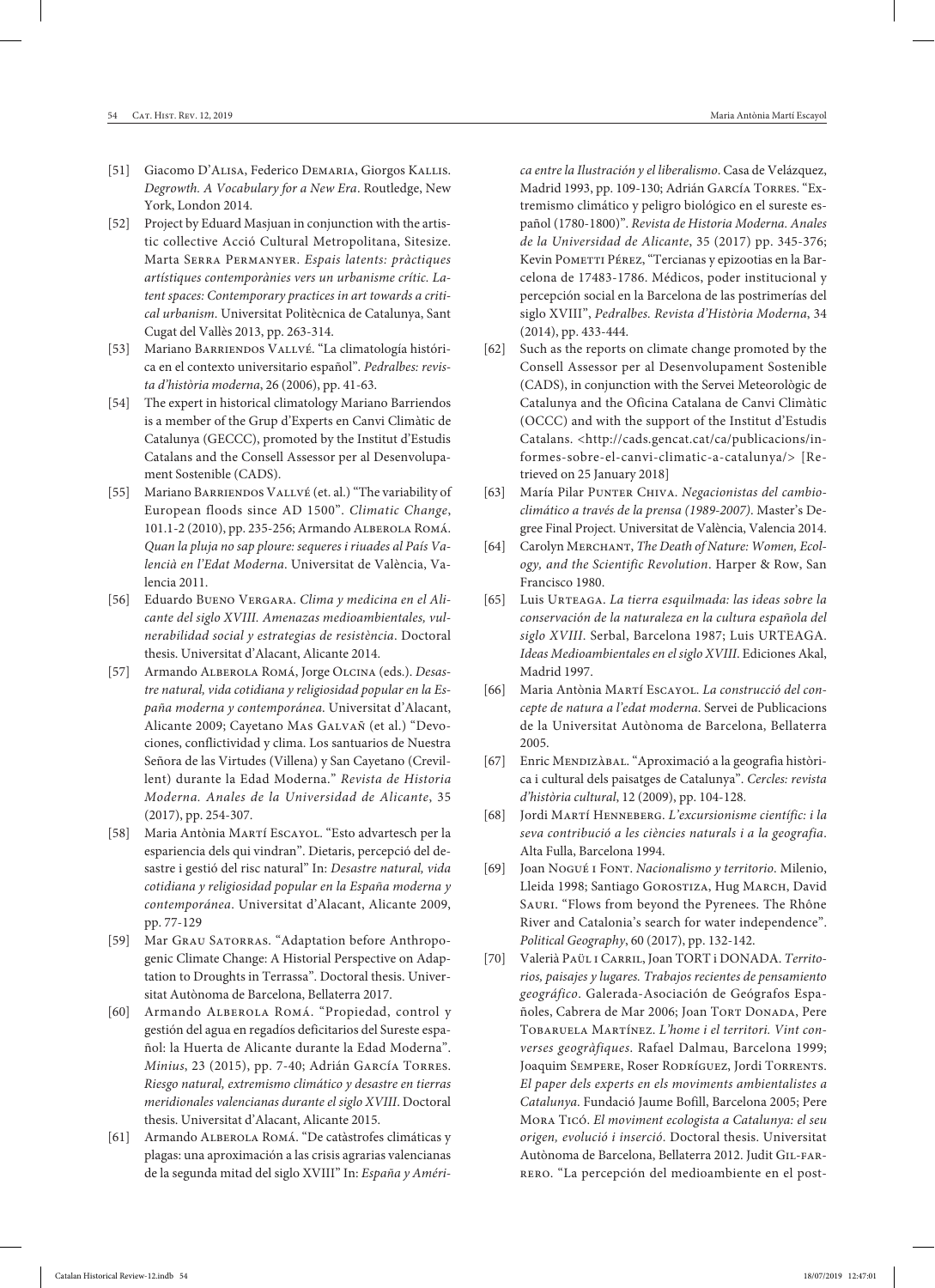- [51] Giacomo D'Alisa, Federico Demaria, Giorgos Kallis. *Degrowth. A Vocabulary for a New Era*. Routledge, New York, London 2014.
- [52] Project by Eduard Masjuan in conjunction with the artistic collective Acció Cultural Metropolitana, Sitesize. Marta Serra Permanyer. *Espais latents: pràctiques artístiques contemporànies vers un urbanisme crític. Latent spaces: Contemporary practices in art towards a critical urbanism*. Universitat Politècnica de Catalunya, Sant Cugat del Vallès 2013, pp. 263-314.
- [53] Mariano BARRIENDOS VALLVÉ. "La climatología histórica en el contexto universitario español". *Pedralbes: revista d'història moderna*, 26 (2006), pp. 41-63.
- [54] The expert in historical climatology Mariano Barriendos is a member of the Grup d'Experts en Canvi Climàtic de Catalunya (GECCC), promoted by the Institut d'Estudis Catalans and the Consell Assessor per al Desenvolupament Sostenible (CADS).
- [55] Mariano BARRIENDOS VALLVÉ (et. al.) "The variability of European floods since AD 1500". *Climatic Change*, 101.1-2 (2010), pp. 235-256; Armando Alberola Romá. *Quan la pluja no sap ploure: sequeres i riuades al País Valencià en l'Edat Moderna*. Universitat de València, Valencia 2011.
- [56] Eduardo Bueno Vergara. *Clima y medicina en el Alicante del siglo XVIII. Amenazas medioambientales, vulnerabilidad social y estrategias de resistència*. Doctoral thesis. Universitat d'Alacant, Alicante 2014.
- [57] Armando Alberola Romá, Jorge Olcina (eds.). *Desastre natural, vida cotidiana y religiosidad popular en la España moderna y contemporánea*. Universitat d'Alacant, Alicante 2009; Cayetano Mas Galvañ (et al.) "Devociones, conflictividad y clima. Los santuarios de Nuestra Señora de las Virtudes (Villena) y San Cayetano (Crevillent) durante la Edad Moderna." *Revista de Historia Moderna. Anales de la Universidad de Alicante*, 35 (2017), pp. 254-307.
- [58] Maria Antònia Martí Escayol. "Esto advartesch per la espariencia dels qui vindran". Dietaris, percepció del desastre i gestió del risc natural" In: *Desastre natural, vida cotidiana y religiosidad popular en la España moderna y contemporánea*. Universitat d'Alacant, Alicante 2009, pp. 77-129
- [59] Mar GRAU SATORRAS. "Adaptation before Anthropogenic Climate Change: A Historial Perspective on Adaptation to Droughts in Terrassa". Doctoral thesis. Universitat Autònoma de Barcelona, Bellaterra 2017.
- [60] Armando Alberola Romá. "Propiedad, control y gestión del agua en regadíos deficitarios del Sureste español: la Huerta de Alicante durante la Edad Moderna". *Minius*, 23 (2015), pp. 7-40; Adrián García Torres. *Riesgo natural, extremismo climático y desastre en tierras meridionales valencianas durante el siglo XVIII*. Doctoral thesis. Universitat d'Alacant, Alicante 2015.
- [61] Armando Alberola Romá. "De catàstrofes climáticas y plagas: una aproximación a las crisis agrarias valencianas de la segunda mitad del siglo XVIII" In: *España y Améri-*

*ca entre la Ilustración y el liberalismo*. Casa de Velázquez, Madrid 1993, pp. 109-130; Adrián García Torres. "Extremismo climático y peligro biológico en el sureste español (1780-1800)". *Revista de Historia Moderna. Anales de la Universidad de Alicante*, 35 (2017) pp. 345-376; Kevin POMETTI PÉREZ, "Tercianas y epizootias en la Barcelona de 17483-1786. Médicos, poder institucional y percepción social en la Barcelona de las postrimerías del siglo XVIII", *Pedralbes. Revista d'Història Moderna*, 34 (2014), pp. 433-444.

- [62] Such as the reports on climate change promoted by the Consell Assessor per al Desenvolupament Sostenible (CADS), in conjunction with the Servei Meteorològic de Catalunya and the Oficina Catalana de Canvi Climàtic (OCCC) and with the support of the Institut d'Estudis Catalans. <http://cads.gencat.cat/ca/publicacions/informes-sobre-el-canvi-climatic-a-catalunya/> [Retrieved on 25 January 2018]
- [63] María Pilar Punter Chiva. *Negacionistas del cambioclimático a través de la prensa (1989-2007)*. Master's Degree Final Project. Universitat de València, Valencia 2014.
- [64] Carolyn Merchant, *The Death of Nature: Women, Ecology, and the Scientific Revolution*. Harper & Row, San Francisco 1980.
- [65] Luis Urteaga. *La tierra esquilmada: las ideas sobre la conservación de la naturaleza en la cultura española del siglo XVIII*. Serbal, Barcelona 1987; Luis URTEAGA. *Ideas Medioambientales en el siglo XVIII*. Ediciones Akal, Madrid 1997.
- [66] Maria Antònia Martí Escayol. *La construcció del concepte de natura a l'edat moderna*. Servei de Publicacions de la Universitat Autònoma de Barcelona, Bellaterra 2005.
- [67] Enric MENDIZÀBAL. "Aproximació a la geografia històrica i cultural dels paisatges de Catalunya". *Cercles: revista d'història cultural*, 12 (2009), pp. 104-128.
- [68] Jordi Martí Henneberg. *L'excursionisme científic: i la seva contribució a les ciències naturals i a la geografia*. Alta Fulla, Barcelona 1994.
- [69] Joan Nogué i Font. *Nacionalismo y territorio*. Milenio, Lleida 1998; Santiago GOROSTIZA, Hug MARCH, David Sauri. "Flows from beyond the Pyrenees. The Rhône River and Catalonia's search for water independence". *Political Geography*, 60 (2017), pp. 132-142.
- [70] Valerià Paül i Carril, Joan TORT i DONADA. *Territorios, paisajes y lugares. Trabajos recientes de pensamiento geográfico*. Galerada-Asociación de Geógrafos Españoles, Cabrera de Mar 2006; Joan Torr Donada, Pere Tobaruela Martínez. *L'home i el territori. Vint converses geogràfiques*. Rafael Dalmau, Barcelona 1999; Joaquim SEMPERE, Roser RODRÍGUEZ, Jordi TORRENTS. *El paper dels experts en els moviments ambientalistes a Catalunya*. Fundació Jaume Bofill, Barcelona 2005; Pere Mora Ticó. *El moviment ecologista a Catalunya: el seu origen, evolució i inserció*. Doctoral thesis. Universitat Autònoma de Barcelona, Bellaterra 2012. Judit GIL-FARrero. "La percepción del medioambiente en el post-